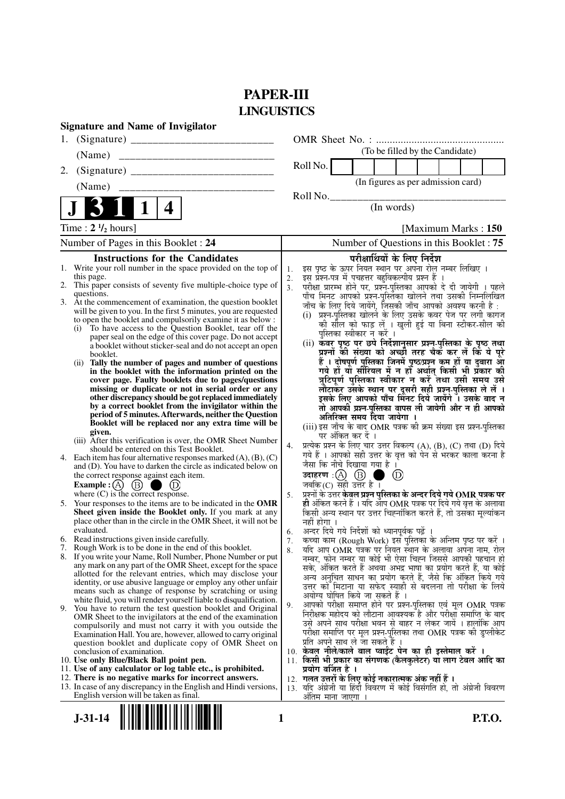# **PAPER-III LINGUISTICS**

| 1.<br>(To be filled by the Candidate)<br>(Name)<br>Roll No.<br>2.<br>(In figures as per admission card)<br>(Name)<br>______________________________<br>Roll No.<br>(In words)<br>4<br>Time : $2 \frac{1}{2}$ hours]<br>[Maximum Marks: 150]<br>Number of Questions in this Booklet: 75<br>Number of Pages in this Booklet : 24<br>परीक्षार्थियों के लिए निर्देश<br><b>Instructions for the Candidates</b><br>इस पृष्ठ के ऊपर नियत स्थान पर अपना रोल नम्बर लिखिए ।<br>इस प्रश्न-पत्र में पुचहत्तर बहुविकल्पीय प्रश्न हैं ।<br>1. Write your roll number in the space provided on the top of<br>1.<br>this page.<br>2.<br>2. This paper consists of seventy five multiple-choice type of<br>परीक्षा प्रारम्भ होने पर, प्रश्नॅ-पुस्तिका आपको दे दी जायेगी । पहले<br>पाँच मिनट आपको प्रश्नॅ-पुस्तिका खोलने तथा उसकी निम्नलिखित<br>3.<br>questions.<br>3. At the commencement of examination, the question booklet<br>जाँच के लिए दिये जायेंगे, जिसकी जाँच आपको अवश्य करनी है :<br>will be given to you. In the first 5 minutes, you are requested<br>(i) प्रश्न-पुस्तिका खोलने के लिए उसके कवर पेज पर लगी कागज<br>to open the booklet and compulsorily examine it as below :<br>की सील को फाड़ लें । खुली हुई या बिना स्टीकर-सील की<br>(i) To have access to the Question Booklet, tear off the<br>पुस्तिका स्वीकार न करें ।<br>paper seal on the edge of this cover page. Do not accept<br>(ii) कवर पृष्ठ पर छपे निर्देशानुसार प्रश्न्-पुस्तिका के पृष्ठ तथा<br>a booklet without sticker-seal and do not accept an open<br>प्रश्नों की संख्या को अच्छी तरह चैक कर लें कि ये पूरे<br>booklet.<br>हैं । दोषपूर्ण पुस्तिका जिनमें पृष्ठ/प्रश्न कम हों या दुबारा आ<br>Tally the number of pages and number of questions<br>(i)<br>गये हो या सीरियल में न हो अर्थात् किसी भी प्रकार की<br>in the booklet with the information printed on the<br>त्रुटिपूर्ण पुस्तिका स्वीकार न करें तथा उसी समय उसे<br>cover page. Faulty booklets due to pages/questions<br>लौटाकर उसके स्थान पर दूसरी सही प्रश्न-पुस्तिका ले लें ।<br>इसके लिए आपको पाँच मिनट दिये जायेंगे । उसके बाद न<br>missing or duplicate or not in serial order or any<br>other discrepancy should be got replaced immediately<br>by a correct booklet from the invigilator within the<br>तो आपकी प्रश्न-पुस्तिका वापस ली जायेगी और न ही आपको<br>period of 5 minutes. Afterwards, neither the Question<br>अतिरिक्त समय दिया जायेगा ।<br>Booklet will be replaced nor any extra time will be<br>(iii) इस जाँच के बाद OMR पत्रक की क्रम संख्या इस प्रश्न-पुस्तिका<br>given.<br>पर अंकित कर दें ।<br>(iii) After this verification is over, the OMR Sheet Number<br>प्रत्येक प्रश्न के लिए चार उत्तर विकल्प (A), (B), (C) तथा (D) दिये<br>4.<br>should be entered on this Test Booklet.<br>गये हैं । आपको सही उत्तर के वृत्त को पेन से भरकर काला करना है<br>4. Each item has four alternative responses marked $(A)$ , $(B)$ , $(C)$<br>जैसा कि नीचे दिखाया गया है ।<br>and (D). You have to darken the circle as indicated below on<br>उदाहरण $\,$ :(A) $\,$ (B) $\,$ ।<br>$\circledcirc$<br>the correct response against each item.<br>जबकि (C) सही उत्तर है ।<br>$\circled{B}$<br><b>Example</b> : $(A)$<br>प्रश्नों के उत्तर <b>केवल प्रश्न पुस्तिका के अन्दर दिये गये OMR पत्रक पर</b><br>where $(C)$ is the correct response.<br>5.<br>ही अंकित करने हैं । यदि आप OMR पत्रक पर दिये गये वृत्त के अलावा<br>5. Your responses to the items are to be indicated in the OMR<br>किसी अन्य स्थान पर उत्तर चिह्नांकित करते हैं, तो उसका मृत्यांकन<br>Sheet given inside the Booklet only. If you mark at any<br>place other than in the circle in the OMR Sheet, it will not be<br>नहीं होगा । |
|----------------------------------------------------------------------------------------------------------------------------------------------------------------------------------------------------------------------------------------------------------------------------------------------------------------------------------------------------------------------------------------------------------------------------------------------------------------------------------------------------------------------------------------------------------------------------------------------------------------------------------------------------------------------------------------------------------------------------------------------------------------------------------------------------------------------------------------------------------------------------------------------------------------------------------------------------------------------------------------------------------------------------------------------------------------------------------------------------------------------------------------------------------------------------------------------------------------------------------------------------------------------------------------------------------------------------------------------------------------------------------------------------------------------------------------------------------------------------------------------------------------------------------------------------------------------------------------------------------------------------------------------------------------------------------------------------------------------------------------------------------------------------------------------------------------------------------------------------------------------------------------------------------------------------------------------------------------------------------------------------------------------------------------------------------------------------------------------------------------------------------------------------------------------------------------------------------------------------------------------------------------------------------------------------------------------------------------------------------------------------------------------------------------------------------------------------------------------------------------------------------------------------------------------------------------------------------------------------------------------------------------------------------------------------------------------------------------------------------------------------------------------------------------------------------------------------------------------------------------------------------------------------------------------------------------------------------------------------------------------------------------------------------------------------------------------------------------------------------------------------------------------------------------------------------------------------------------------------------------------------------------------------------------------------------------------------------------------------------------------------------------------------------------------------------------------------------------------------------------------------------------------------------------------------------------------------------------------------------------------------------------------|
|                                                                                                                                                                                                                                                                                                                                                                                                                                                                                                                                                                                                                                                                                                                                                                                                                                                                                                                                                                                                                                                                                                                                                                                                                                                                                                                                                                                                                                                                                                                                                                                                                                                                                                                                                                                                                                                                                                                                                                                                                                                                                                                                                                                                                                                                                                                                                                                                                                                                                                                                                                                                                                                                                                                                                                                                                                                                                                                                                                                                                                                                                                                                                                                                                                                                                                                                                                                                                                                                                                                                                                                                                                              |
|                                                                                                                                                                                                                                                                                                                                                                                                                                                                                                                                                                                                                                                                                                                                                                                                                                                                                                                                                                                                                                                                                                                                                                                                                                                                                                                                                                                                                                                                                                                                                                                                                                                                                                                                                                                                                                                                                                                                                                                                                                                                                                                                                                                                                                                                                                                                                                                                                                                                                                                                                                                                                                                                                                                                                                                                                                                                                                                                                                                                                                                                                                                                                                                                                                                                                                                                                                                                                                                                                                                                                                                                                                              |
|                                                                                                                                                                                                                                                                                                                                                                                                                                                                                                                                                                                                                                                                                                                                                                                                                                                                                                                                                                                                                                                                                                                                                                                                                                                                                                                                                                                                                                                                                                                                                                                                                                                                                                                                                                                                                                                                                                                                                                                                                                                                                                                                                                                                                                                                                                                                                                                                                                                                                                                                                                                                                                                                                                                                                                                                                                                                                                                                                                                                                                                                                                                                                                                                                                                                                                                                                                                                                                                                                                                                                                                                                                              |
|                                                                                                                                                                                                                                                                                                                                                                                                                                                                                                                                                                                                                                                                                                                                                                                                                                                                                                                                                                                                                                                                                                                                                                                                                                                                                                                                                                                                                                                                                                                                                                                                                                                                                                                                                                                                                                                                                                                                                                                                                                                                                                                                                                                                                                                                                                                                                                                                                                                                                                                                                                                                                                                                                                                                                                                                                                                                                                                                                                                                                                                                                                                                                                                                                                                                                                                                                                                                                                                                                                                                                                                                                                              |
|                                                                                                                                                                                                                                                                                                                                                                                                                                                                                                                                                                                                                                                                                                                                                                                                                                                                                                                                                                                                                                                                                                                                                                                                                                                                                                                                                                                                                                                                                                                                                                                                                                                                                                                                                                                                                                                                                                                                                                                                                                                                                                                                                                                                                                                                                                                                                                                                                                                                                                                                                                                                                                                                                                                                                                                                                                                                                                                                                                                                                                                                                                                                                                                                                                                                                                                                                                                                                                                                                                                                                                                                                                              |
|                                                                                                                                                                                                                                                                                                                                                                                                                                                                                                                                                                                                                                                                                                                                                                                                                                                                                                                                                                                                                                                                                                                                                                                                                                                                                                                                                                                                                                                                                                                                                                                                                                                                                                                                                                                                                                                                                                                                                                                                                                                                                                                                                                                                                                                                                                                                                                                                                                                                                                                                                                                                                                                                                                                                                                                                                                                                                                                                                                                                                                                                                                                                                                                                                                                                                                                                                                                                                                                                                                                                                                                                                                              |
|                                                                                                                                                                                                                                                                                                                                                                                                                                                                                                                                                                                                                                                                                                                                                                                                                                                                                                                                                                                                                                                                                                                                                                                                                                                                                                                                                                                                                                                                                                                                                                                                                                                                                                                                                                                                                                                                                                                                                                                                                                                                                                                                                                                                                                                                                                                                                                                                                                                                                                                                                                                                                                                                                                                                                                                                                                                                                                                                                                                                                                                                                                                                                                                                                                                                                                                                                                                                                                                                                                                                                                                                                                              |
|                                                                                                                                                                                                                                                                                                                                                                                                                                                                                                                                                                                                                                                                                                                                                                                                                                                                                                                                                                                                                                                                                                                                                                                                                                                                                                                                                                                                                                                                                                                                                                                                                                                                                                                                                                                                                                                                                                                                                                                                                                                                                                                                                                                                                                                                                                                                                                                                                                                                                                                                                                                                                                                                                                                                                                                                                                                                                                                                                                                                                                                                                                                                                                                                                                                                                                                                                                                                                                                                                                                                                                                                                                              |
|                                                                                                                                                                                                                                                                                                                                                                                                                                                                                                                                                                                                                                                                                                                                                                                                                                                                                                                                                                                                                                                                                                                                                                                                                                                                                                                                                                                                                                                                                                                                                                                                                                                                                                                                                                                                                                                                                                                                                                                                                                                                                                                                                                                                                                                                                                                                                                                                                                                                                                                                                                                                                                                                                                                                                                                                                                                                                                                                                                                                                                                                                                                                                                                                                                                                                                                                                                                                                                                                                                                                                                                                                                              |
|                                                                                                                                                                                                                                                                                                                                                                                                                                                                                                                                                                                                                                                                                                                                                                                                                                                                                                                                                                                                                                                                                                                                                                                                                                                                                                                                                                                                                                                                                                                                                                                                                                                                                                                                                                                                                                                                                                                                                                                                                                                                                                                                                                                                                                                                                                                                                                                                                                                                                                                                                                                                                                                                                                                                                                                                                                                                                                                                                                                                                                                                                                                                                                                                                                                                                                                                                                                                                                                                                                                                                                                                                                              |
|                                                                                                                                                                                                                                                                                                                                                                                                                                                                                                                                                                                                                                                                                                                                                                                                                                                                                                                                                                                                                                                                                                                                                                                                                                                                                                                                                                                                                                                                                                                                                                                                                                                                                                                                                                                                                                                                                                                                                                                                                                                                                                                                                                                                                                                                                                                                                                                                                                                                                                                                                                                                                                                                                                                                                                                                                                                                                                                                                                                                                                                                                                                                                                                                                                                                                                                                                                                                                                                                                                                                                                                                                                              |
|                                                                                                                                                                                                                                                                                                                                                                                                                                                                                                                                                                                                                                                                                                                                                                                                                                                                                                                                                                                                                                                                                                                                                                                                                                                                                                                                                                                                                                                                                                                                                                                                                                                                                                                                                                                                                                                                                                                                                                                                                                                                                                                                                                                                                                                                                                                                                                                                                                                                                                                                                                                                                                                                                                                                                                                                                                                                                                                                                                                                                                                                                                                                                                                                                                                                                                                                                                                                                                                                                                                                                                                                                                              |
|                                                                                                                                                                                                                                                                                                                                                                                                                                                                                                                                                                                                                                                                                                                                                                                                                                                                                                                                                                                                                                                                                                                                                                                                                                                                                                                                                                                                                                                                                                                                                                                                                                                                                                                                                                                                                                                                                                                                                                                                                                                                                                                                                                                                                                                                                                                                                                                                                                                                                                                                                                                                                                                                                                                                                                                                                                                                                                                                                                                                                                                                                                                                                                                                                                                                                                                                                                                                                                                                                                                                                                                                                                              |
|                                                                                                                                                                                                                                                                                                                                                                                                                                                                                                                                                                                                                                                                                                                                                                                                                                                                                                                                                                                                                                                                                                                                                                                                                                                                                                                                                                                                                                                                                                                                                                                                                                                                                                                                                                                                                                                                                                                                                                                                                                                                                                                                                                                                                                                                                                                                                                                                                                                                                                                                                                                                                                                                                                                                                                                                                                                                                                                                                                                                                                                                                                                                                                                                                                                                                                                                                                                                                                                                                                                                                                                                                                              |
|                                                                                                                                                                                                                                                                                                                                                                                                                                                                                                                                                                                                                                                                                                                                                                                                                                                                                                                                                                                                                                                                                                                                                                                                                                                                                                                                                                                                                                                                                                                                                                                                                                                                                                                                                                                                                                                                                                                                                                                                                                                                                                                                                                                                                                                                                                                                                                                                                                                                                                                                                                                                                                                                                                                                                                                                                                                                                                                                                                                                                                                                                                                                                                                                                                                                                                                                                                                                                                                                                                                                                                                                                                              |
|                                                                                                                                                                                                                                                                                                                                                                                                                                                                                                                                                                                                                                                                                                                                                                                                                                                                                                                                                                                                                                                                                                                                                                                                                                                                                                                                                                                                                                                                                                                                                                                                                                                                                                                                                                                                                                                                                                                                                                                                                                                                                                                                                                                                                                                                                                                                                                                                                                                                                                                                                                                                                                                                                                                                                                                                                                                                                                                                                                                                                                                                                                                                                                                                                                                                                                                                                                                                                                                                                                                                                                                                                                              |
|                                                                                                                                                                                                                                                                                                                                                                                                                                                                                                                                                                                                                                                                                                                                                                                                                                                                                                                                                                                                                                                                                                                                                                                                                                                                                                                                                                                                                                                                                                                                                                                                                                                                                                                                                                                                                                                                                                                                                                                                                                                                                                                                                                                                                                                                                                                                                                                                                                                                                                                                                                                                                                                                                                                                                                                                                                                                                                                                                                                                                                                                                                                                                                                                                                                                                                                                                                                                                                                                                                                                                                                                                                              |
|                                                                                                                                                                                                                                                                                                                                                                                                                                                                                                                                                                                                                                                                                                                                                                                                                                                                                                                                                                                                                                                                                                                                                                                                                                                                                                                                                                                                                                                                                                                                                                                                                                                                                                                                                                                                                                                                                                                                                                                                                                                                                                                                                                                                                                                                                                                                                                                                                                                                                                                                                                                                                                                                                                                                                                                                                                                                                                                                                                                                                                                                                                                                                                                                                                                                                                                                                                                                                                                                                                                                                                                                                                              |
|                                                                                                                                                                                                                                                                                                                                                                                                                                                                                                                                                                                                                                                                                                                                                                                                                                                                                                                                                                                                                                                                                                                                                                                                                                                                                                                                                                                                                                                                                                                                                                                                                                                                                                                                                                                                                                                                                                                                                                                                                                                                                                                                                                                                                                                                                                                                                                                                                                                                                                                                                                                                                                                                                                                                                                                                                                                                                                                                                                                                                                                                                                                                                                                                                                                                                                                                                                                                                                                                                                                                                                                                                                              |
|                                                                                                                                                                                                                                                                                                                                                                                                                                                                                                                                                                                                                                                                                                                                                                                                                                                                                                                                                                                                                                                                                                                                                                                                                                                                                                                                                                                                                                                                                                                                                                                                                                                                                                                                                                                                                                                                                                                                                                                                                                                                                                                                                                                                                                                                                                                                                                                                                                                                                                                                                                                                                                                                                                                                                                                                                                                                                                                                                                                                                                                                                                                                                                                                                                                                                                                                                                                                                                                                                                                                                                                                                                              |
|                                                                                                                                                                                                                                                                                                                                                                                                                                                                                                                                                                                                                                                                                                                                                                                                                                                                                                                                                                                                                                                                                                                                                                                                                                                                                                                                                                                                                                                                                                                                                                                                                                                                                                                                                                                                                                                                                                                                                                                                                                                                                                                                                                                                                                                                                                                                                                                                                                                                                                                                                                                                                                                                                                                                                                                                                                                                                                                                                                                                                                                                                                                                                                                                                                                                                                                                                                                                                                                                                                                                                                                                                                              |
|                                                                                                                                                                                                                                                                                                                                                                                                                                                                                                                                                                                                                                                                                                                                                                                                                                                                                                                                                                                                                                                                                                                                                                                                                                                                                                                                                                                                                                                                                                                                                                                                                                                                                                                                                                                                                                                                                                                                                                                                                                                                                                                                                                                                                                                                                                                                                                                                                                                                                                                                                                                                                                                                                                                                                                                                                                                                                                                                                                                                                                                                                                                                                                                                                                                                                                                                                                                                                                                                                                                                                                                                                                              |
|                                                                                                                                                                                                                                                                                                                                                                                                                                                                                                                                                                                                                                                                                                                                                                                                                                                                                                                                                                                                                                                                                                                                                                                                                                                                                                                                                                                                                                                                                                                                                                                                                                                                                                                                                                                                                                                                                                                                                                                                                                                                                                                                                                                                                                                                                                                                                                                                                                                                                                                                                                                                                                                                                                                                                                                                                                                                                                                                                                                                                                                                                                                                                                                                                                                                                                                                                                                                                                                                                                                                                                                                                                              |
|                                                                                                                                                                                                                                                                                                                                                                                                                                                                                                                                                                                                                                                                                                                                                                                                                                                                                                                                                                                                                                                                                                                                                                                                                                                                                                                                                                                                                                                                                                                                                                                                                                                                                                                                                                                                                                                                                                                                                                                                                                                                                                                                                                                                                                                                                                                                                                                                                                                                                                                                                                                                                                                                                                                                                                                                                                                                                                                                                                                                                                                                                                                                                                                                                                                                                                                                                                                                                                                                                                                                                                                                                                              |
|                                                                                                                                                                                                                                                                                                                                                                                                                                                                                                                                                                                                                                                                                                                                                                                                                                                                                                                                                                                                                                                                                                                                                                                                                                                                                                                                                                                                                                                                                                                                                                                                                                                                                                                                                                                                                                                                                                                                                                                                                                                                                                                                                                                                                                                                                                                                                                                                                                                                                                                                                                                                                                                                                                                                                                                                                                                                                                                                                                                                                                                                                                                                                                                                                                                                                                                                                                                                                                                                                                                                                                                                                                              |
|                                                                                                                                                                                                                                                                                                                                                                                                                                                                                                                                                                                                                                                                                                                                                                                                                                                                                                                                                                                                                                                                                                                                                                                                                                                                                                                                                                                                                                                                                                                                                                                                                                                                                                                                                                                                                                                                                                                                                                                                                                                                                                                                                                                                                                                                                                                                                                                                                                                                                                                                                                                                                                                                                                                                                                                                                                                                                                                                                                                                                                                                                                                                                                                                                                                                                                                                                                                                                                                                                                                                                                                                                                              |
|                                                                                                                                                                                                                                                                                                                                                                                                                                                                                                                                                                                                                                                                                                                                                                                                                                                                                                                                                                                                                                                                                                                                                                                                                                                                                                                                                                                                                                                                                                                                                                                                                                                                                                                                                                                                                                                                                                                                                                                                                                                                                                                                                                                                                                                                                                                                                                                                                                                                                                                                                                                                                                                                                                                                                                                                                                                                                                                                                                                                                                                                                                                                                                                                                                                                                                                                                                                                                                                                                                                                                                                                                                              |
|                                                                                                                                                                                                                                                                                                                                                                                                                                                                                                                                                                                                                                                                                                                                                                                                                                                                                                                                                                                                                                                                                                                                                                                                                                                                                                                                                                                                                                                                                                                                                                                                                                                                                                                                                                                                                                                                                                                                                                                                                                                                                                                                                                                                                                                                                                                                                                                                                                                                                                                                                                                                                                                                                                                                                                                                                                                                                                                                                                                                                                                                                                                                                                                                                                                                                                                                                                                                                                                                                                                                                                                                                                              |
|                                                                                                                                                                                                                                                                                                                                                                                                                                                                                                                                                                                                                                                                                                                                                                                                                                                                                                                                                                                                                                                                                                                                                                                                                                                                                                                                                                                                                                                                                                                                                                                                                                                                                                                                                                                                                                                                                                                                                                                                                                                                                                                                                                                                                                                                                                                                                                                                                                                                                                                                                                                                                                                                                                                                                                                                                                                                                                                                                                                                                                                                                                                                                                                                                                                                                                                                                                                                                                                                                                                                                                                                                                              |
|                                                                                                                                                                                                                                                                                                                                                                                                                                                                                                                                                                                                                                                                                                                                                                                                                                                                                                                                                                                                                                                                                                                                                                                                                                                                                                                                                                                                                                                                                                                                                                                                                                                                                                                                                                                                                                                                                                                                                                                                                                                                                                                                                                                                                                                                                                                                                                                                                                                                                                                                                                                                                                                                                                                                                                                                                                                                                                                                                                                                                                                                                                                                                                                                                                                                                                                                                                                                                                                                                                                                                                                                                                              |
| अन्दर दिये गये निर्देशों को ध्यानपूर्वक पढ़ें ।<br>evaluated.                                                                                                                                                                                                                                                                                                                                                                                                                                                                                                                                                                                                                                                                                                                                                                                                                                                                                                                                                                                                                                                                                                                                                                                                                                                                                                                                                                                                                                                                                                                                                                                                                                                                                                                                                                                                                                                                                                                                                                                                                                                                                                                                                                                                                                                                                                                                                                                                                                                                                                                                                                                                                                                                                                                                                                                                                                                                                                                                                                                                                                                                                                                                                                                                                                                                                                                                                                                                                                                                                                                                                                                |
| 6.<br>6. Read instructions given inside carefully.<br>कच्चा काम (Rough Work) इस पुस्तिका के अन्तिम पृष्ठ पर करें ।<br>7.                                                                                                                                                                                                                                                                                                                                                                                                                                                                                                                                                                                                                                                                                                                                                                                                                                                                                                                                                                                                                                                                                                                                                                                                                                                                                                                                                                                                                                                                                                                                                                                                                                                                                                                                                                                                                                                                                                                                                                                                                                                                                                                                                                                                                                                                                                                                                                                                                                                                                                                                                                                                                                                                                                                                                                                                                                                                                                                                                                                                                                                                                                                                                                                                                                                                                                                                                                                                                                                                                                                     |
| Rough Work is to be done in the end of this booklet.<br>र्याद आप OMR पत्रक पर नियत स्थान के अलावा अपना नाम. रोल<br>8.                                                                                                                                                                                                                                                                                                                                                                                                                                                                                                                                                                                                                                                                                                                                                                                                                                                                                                                                                                                                                                                                                                                                                                                                                                                                                                                                                                                                                                                                                                                                                                                                                                                                                                                                                                                                                                                                                                                                                                                                                                                                                                                                                                                                                                                                                                                                                                                                                                                                                                                                                                                                                                                                                                                                                                                                                                                                                                                                                                                                                                                                                                                                                                                                                                                                                                                                                                                                                                                                                                                        |
| 8. If you write your Name, Roll Number, Phone Number or put<br>नम्बर, फोन नम्बर या कोई भी ऐसा चिह्न जिससे आपकी पहचान हो<br>any mark on any part of the OMR Sheet, except for the space                                                                                                                                                                                                                                                                                                                                                                                                                                                                                                                                                                                                                                                                                                                                                                                                                                                                                                                                                                                                                                                                                                                                                                                                                                                                                                                                                                                                                                                                                                                                                                                                                                                                                                                                                                                                                                                                                                                                                                                                                                                                                                                                                                                                                                                                                                                                                                                                                                                                                                                                                                                                                                                                                                                                                                                                                                                                                                                                                                                                                                                                                                                                                                                                                                                                                                                                                                                                                                                       |
| सके, अंकित करते हैं अथवा अभद्र भाषा का प्रयोग करते हैं, या कोई<br>allotted for the relevant entries, which may disclose your<br>अन्य अनुचित साधन का प्रयोग करते हैं, जैसे कि अंकित किये गये                                                                                                                                                                                                                                                                                                                                                                                                                                                                                                                                                                                                                                                                                                                                                                                                                                                                                                                                                                                                                                                                                                                                                                                                                                                                                                                                                                                                                                                                                                                                                                                                                                                                                                                                                                                                                                                                                                                                                                                                                                                                                                                                                                                                                                                                                                                                                                                                                                                                                                                                                                                                                                                                                                                                                                                                                                                                                                                                                                                                                                                                                                                                                                                                                                                                                                                                                                                                                                                  |
| identity, or use abusive language or employ any other unfair<br>उत्तर को मिटाना या सफेद स्याही से बदलना तो परीक्षा के लिये                                                                                                                                                                                                                                                                                                                                                                                                                                                                                                                                                                                                                                                                                                                                                                                                                                                                                                                                                                                                                                                                                                                                                                                                                                                                                                                                                                                                                                                                                                                                                                                                                                                                                                                                                                                                                                                                                                                                                                                                                                                                                                                                                                                                                                                                                                                                                                                                                                                                                                                                                                                                                                                                                                                                                                                                                                                                                                                                                                                                                                                                                                                                                                                                                                                                                                                                                                                                                                                                                                                   |
| means such as change of response by scratching or using<br>अयोग्य घोषित किये जा सकते हैं ।<br>white fluid, you will render yourself liable to disqualification.                                                                                                                                                                                                                                                                                                                                                                                                                                                                                                                                                                                                                                                                                                                                                                                                                                                                                                                                                                                                                                                                                                                                                                                                                                                                                                                                                                                                                                                                                                                                                                                                                                                                                                                                                                                                                                                                                                                                                                                                                                                                                                                                                                                                                                                                                                                                                                                                                                                                                                                                                                                                                                                                                                                                                                                                                                                                                                                                                                                                                                                                                                                                                                                                                                                                                                                                                                                                                                                                              |
| आपको परीक्षा समाप्त होने पर प्रश्न-पुस्तिका एवं मूल OMR पत्रक<br>9.<br>9. You have to return the test question booklet and Original<br>निरीक्षक महोदय को लौटाना आवश्यक है और परीक्षा समाप्ति के बाद                                                                                                                                                                                                                                                                                                                                                                                                                                                                                                                                                                                                                                                                                                                                                                                                                                                                                                                                                                                                                                                                                                                                                                                                                                                                                                                                                                                                                                                                                                                                                                                                                                                                                                                                                                                                                                                                                                                                                                                                                                                                                                                                                                                                                                                                                                                                                                                                                                                                                                                                                                                                                                                                                                                                                                                                                                                                                                                                                                                                                                                                                                                                                                                                                                                                                                                                                                                                                                          |
| OMR Sheet to the invigilators at the end of the examination<br>उसे अपने साथ परीक्षा भवन से बाहर न लेकर जायें । हालांकि आप<br>compulsorily and must not carry it with you outside the                                                                                                                                                                                                                                                                                                                                                                                                                                                                                                                                                                                                                                                                                                                                                                                                                                                                                                                                                                                                                                                                                                                                                                                                                                                                                                                                                                                                                                                                                                                                                                                                                                                                                                                                                                                                                                                                                                                                                                                                                                                                                                                                                                                                                                                                                                                                                                                                                                                                                                                                                                                                                                                                                                                                                                                                                                                                                                                                                                                                                                                                                                                                                                                                                                                                                                                                                                                                                                                         |
| परीक्षा समाप्ति पर मूल प्रश्न-पुस्तिका तथा OMR पत्रक की डुप्लीकेट<br>Examination Hall. You are, however, allowed to carry original                                                                                                                                                                                                                                                                                                                                                                                                                                                                                                                                                                                                                                                                                                                                                                                                                                                                                                                                                                                                                                                                                                                                                                                                                                                                                                                                                                                                                                                                                                                                                                                                                                                                                                                                                                                                                                                                                                                                                                                                                                                                                                                                                                                                                                                                                                                                                                                                                                                                                                                                                                                                                                                                                                                                                                                                                                                                                                                                                                                                                                                                                                                                                                                                                                                                                                                                                                                                                                                                                                           |
| प्रति अपने साथ ले जा सकते है ।<br>question booklet and duplicate copy of OMR Sheet on<br>10. केवल नीले/काले बाल प्वाईंट पेन का ही इस्तेमाल करें ।                                                                                                                                                                                                                                                                                                                                                                                                                                                                                                                                                                                                                                                                                                                                                                                                                                                                                                                                                                                                                                                                                                                                                                                                                                                                                                                                                                                                                                                                                                                                                                                                                                                                                                                                                                                                                                                                                                                                                                                                                                                                                                                                                                                                                                                                                                                                                                                                                                                                                                                                                                                                                                                                                                                                                                                                                                                                                                                                                                                                                                                                                                                                                                                                                                                                                                                                                                                                                                                                                            |
| conclusion of examination.<br>11. किसी भी प्रकार का संगणक (कैलकुलेटर) या लाग टेबल आदि का<br>10. Use only Blue/Black Ball point pen.                                                                                                                                                                                                                                                                                                                                                                                                                                                                                                                                                                                                                                                                                                                                                                                                                                                                                                                                                                                                                                                                                                                                                                                                                                                                                                                                                                                                                                                                                                                                                                                                                                                                                                                                                                                                                                                                                                                                                                                                                                                                                                                                                                                                                                                                                                                                                                                                                                                                                                                                                                                                                                                                                                                                                                                                                                                                                                                                                                                                                                                                                                                                                                                                                                                                                                                                                                                                                                                                                                          |
| 11. Use of any calculator or log table etc., is prohibited.<br>प्रयोग वर्जित है ।                                                                                                                                                                                                                                                                                                                                                                                                                                                                                                                                                                                                                                                                                                                                                                                                                                                                                                                                                                                                                                                                                                                                                                                                                                                                                                                                                                                                                                                                                                                                                                                                                                                                                                                                                                                                                                                                                                                                                                                                                                                                                                                                                                                                                                                                                                                                                                                                                                                                                                                                                                                                                                                                                                                                                                                                                                                                                                                                                                                                                                                                                                                                                                                                                                                                                                                                                                                                                                                                                                                                                            |
| 12. There is no negative marks for incorrect answers.<br>12.  गलत उत्तरों के लिए कोई नकारात्मक अंक नहीं हैं ।<br>13. In case of any discrepancy in the English and Hindi versions,<br>13. यदि अंग्रेजी या हिंदी विवरण में कोई विसंगति हो, तो अंग्रेजी विवरण                                                                                                                                                                                                                                                                                                                                                                                                                                                                                                                                                                                                                                                                                                                                                                                                                                                                                                                                                                                                                                                                                                                                                                                                                                                                                                                                                                                                                                                                                                                                                                                                                                                                                                                                                                                                                                                                                                                                                                                                                                                                                                                                                                                                                                                                                                                                                                                                                                                                                                                                                                                                                                                                                                                                                                                                                                                                                                                                                                                                                                                                                                                                                                                                                                                                                                                                                                                  |
| English version will be taken as final.<br>अतिम माना जाएगा                                                                                                                                                                                                                                                                                                                                                                                                                                                                                                                                                                                                                                                                                                                                                                                                                                                                                                                                                                                                                                                                                                                                                                                                                                                                                                                                                                                                                                                                                                                                                                                                                                                                                                                                                                                                                                                                                                                                                                                                                                                                                                                                                                                                                                                                                                                                                                                                                                                                                                                                                                                                                                                                                                                                                                                                                                                                                                                                                                                                                                                                                                                                                                                                                                                                                                                                                                                                                                                                                                                                                                                   |

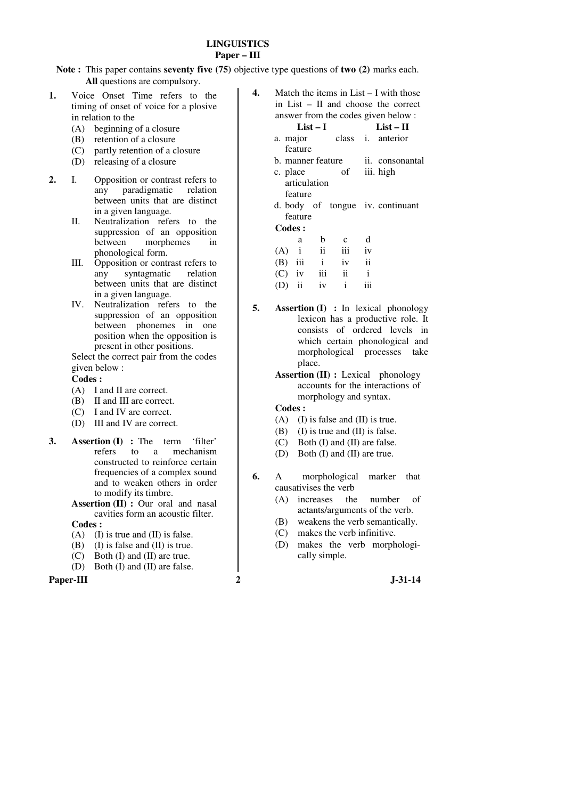## **LINGUISTICS Paper – III**

**Note :** This paper contains **seventy five (75)** objective type questions of **two (2)** marks each. **All** questions are compulsory.

- **1.** Voice Onset Time refers to the timing of onset of voice for a plosive in relation to the
	- (A) beginning of a closure
	- (B) retention of a closure
	- (C) partly retention of a closure
	- (D) releasing of a closure
- **2.** I. Opposition or contrast refers to any paradigmatic relation between units that are distinct in a given language.
	- II. Neutralization refers to the suppression of an opposition between morphemes in phonological form.
	- III. Opposition or contrast refers to any syntagmatic relation between units that are distinct in a given language.
	- IV. Neutralization refers to the suppression of an opposition between phonemes in one position when the opposition is present in other positions.

 Select the correct pair from the codes given below :

## **Codes :**

- (A) I and II are correct.
- (B) II and III are correct.
- (C) I and IV are correct.
- (D) III and IV are correct.
- **3. Assertion (I) :** The term 'filter' refers to a mechanism constructed to reinforce certain frequencies of a complex sound and to weaken others in order to modify its timbre.
	- **Assertion (II) :** Our oral and nasal cavities form an acoustic filter.

 **Codes :**

- (A) (I) is true and (II) is false.
- (B) (I) is false and (II) is true.
- $(C)$  Both  $(I)$  and  $(II)$  are true.
- (D) Both (I) and (II) are false.

#### **Paper-III 2 J-31-14**

- **4.** Match the items in List I with those in List – II and choose the correct answer from the codes given below : **List – I List – II**  a. major class i. anterior
	- feature b. manner feature ii. consonantal c. place of articulation iii. high
	- feature d. body of tongue iv. continuant feature

#### **Codes :**

|         | a        | b                         | $\mathbf{c}$ | d   |
|---------|----------|---------------------------|--------------|-----|
| $(A)$ i |          | $\overline{\mathbf{u}}$   | iii          | iv  |
|         |          | $(B)$ iii i               | iv           | ii  |
|         | $(C)$ iv | $\overline{\mathbf{iii}}$ | ii           |     |
|         |          | $(D)$ ii iv               | i.           | iii |

- **5. Assertion (I) :** In lexical phonology lexicon has a productive role. It consists of ordered levels in which certain phonological and morphological processes take place.
	- **Assertion (II) :** Lexical phonology accounts for the interactions of morphology and syntax.

- (A) (I) is false and (II) is true.
- (B) (I) is true and (II) is false.
- (C) Both (I) and (II) are false.
- (D) Both (I) and (II) are true.
- **6.** A morphological marker that causativises the verb
	- (A) increases the number of actants/arguments of the verb.
	- (B) weakens the verb semantically.
	- (C) makes the verb infinitive.
	- (D) makes the verb morphologically simple.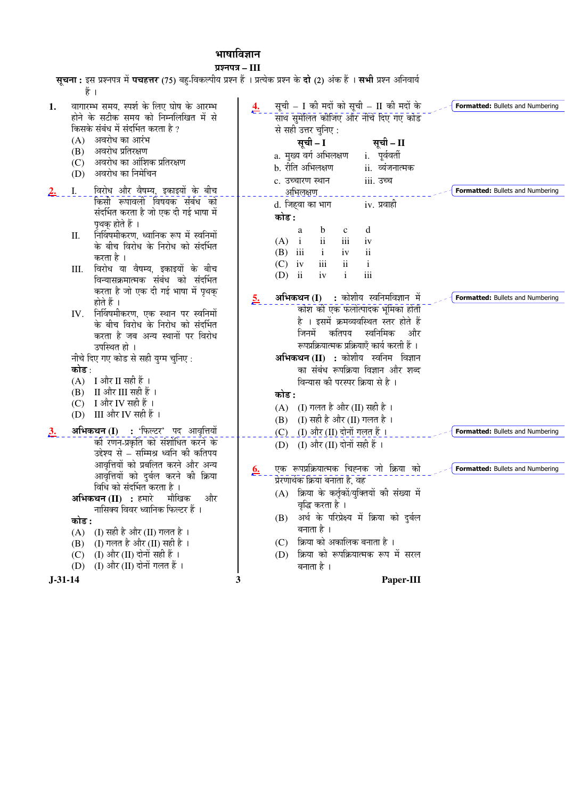# भाषाविज्ञान

प्रश्नपत्र – III

| <b>सूचना :</b> इस प्रश्नपत्र में <b>पचहत्तर</b> (75) बहु-विकल्पीय प्रश्न हैं । प्रत्येक प्रश्न के <b>दो</b> (2) अंक हैं । <b>सभी</b> प्रश्न अनिवार्य |           |                                                                                             |  |
|------------------------------------------------------------------------------------------------------------------------------------------------------|-----------|---------------------------------------------------------------------------------------------|--|
| हैं ।                                                                                                                                                |           |                                                                                             |  |
| वागारम्भ समय, स्पर्श के लिए घोष के आरम्भ<br>1.<br>होने के सटीक समय को निम्नलिखित में से                                                              |           | सूची – I की मदों को सूची – II की मदों के<br>Formatted: Bullets and Numbering                |  |
| किसके संबंध में संदर्भित करता है ?                                                                                                                   |           | साथ सुमेलित कीजिए और नीचे दिए गए कोड                                                        |  |
| अवरोध का आरंभ<br>(A)                                                                                                                                 |           | से सही उत्तर चुनिए :                                                                        |  |
| अवरोध प्रतिरक्षण<br>(B)                                                                                                                              |           | सूची - I<br>सूची – II                                                                       |  |
| अवरोध का आंशिक प्रतिरक्षण<br>(C)                                                                                                                     |           | a. मुख्य वर्ग अभिलक्षण<br>i. पूर्ववर्ती                                                     |  |
| अवरोध का निमेचिन<br>(D)                                                                                                                              |           | b. रीति अभिलक्षण<br>ii. व्यंजनात्मक                                                         |  |
|                                                                                                                                                      |           | iii. उच्च<br>c. उच्चारण स्थान                                                               |  |
| विरोध और वैषम्य, इकाइयों के बीच<br>Ι.<br><u>2.</u><br>किसी रूपावली विषयक संबंध को                                                                    |           | Formatted: Bullets and Numbering<br><u>अभिलक्षण </u>                                        |  |
| संदर्भित करता है जो एक दी गई भाषा में                                                                                                                |           | d. जिहवा का भाग<br>iv. प्रवाही                                                              |  |
| पृथक् होते हैं ।                                                                                                                                     |           | कोड :                                                                                       |  |
| निर्विषमीकरण, ध्वानिक रूप में स्वनिमों<br>П.                                                                                                         |           | b<br>d<br>$\mathbf c$<br>a                                                                  |  |
| के बीच विरोध के निरोध को संदर्भित                                                                                                                    |           | iii<br>$\mathbf{ii}$<br>(A)<br>$\mathbf{i}$<br>iv                                           |  |
| करता है ।                                                                                                                                            |           | $\ddot{\rm ii}$<br>$\mathbf{i}$<br>iii<br>iv<br>(B)<br>iii<br>$\mathbf{i}$<br>$\mathbf{ii}$ |  |
| विरोध या वैषम्य, इकाइयों के बीच<br>Ш.                                                                                                                |           | (C)<br>iv<br>iii<br>$\mathbf{i}$<br>iv<br>$(D)$ ii                                          |  |
| विन्यासक्रमात्मक संबंध को संदर्भित                                                                                                                   |           |                                                                                             |  |
| करता है जो एक दी गई भाषा में पृथक्                                                                                                                   | <u>5.</u> | अभिकथन (I) : कोशीय स्वनिमविज्ञान में<br>Formatted: Bullets and Numbering                    |  |
| होते हैं ।                                                                                                                                           |           | कोश की एक फलोत्पादक भूमिका होती                                                             |  |
| IV. निर्विषमीकरण, एक स्थान पर स्वनिमों                                                                                                               |           | है । इसमें क्रमव्यवस्थित स्तर होते हैं                                                      |  |
| के बीच विरोध के निरोध को संदर्भित<br>करता है जब अन्य स्थानों पर विरोध                                                                                |           | स्वनिमिक<br>जिनमें<br>कतिपय<br>और                                                           |  |
| उपस्थित हो ।                                                                                                                                         |           | रूपप्रक्रियात्मक प्रक्रियाएँ कार्य करती हैं ।                                               |  |
| नीचे दिए गए कोड से सही युग्म चुनिए :                                                                                                                 |           | अभिकथन (II) : कोशीय स्वनिम विज्ञान                                                          |  |
| कोड :                                                                                                                                                |           | का संबंध रूपक्रिया विज्ञान और शब्द                                                          |  |
| $(A)$ I और II सही हैं ।                                                                                                                              |           | विन्यास की परस्पर क्रिया से है ।                                                            |  |
| $(B)$ II और III सही हैं।                                                                                                                             |           | कोड :                                                                                       |  |
| (C) I और IV सही हैं ।                                                                                                                                |           | $(A)$ (I) गलत है और (II) सही है ।                                                           |  |
| (D) III और IV सही हैं।                                                                                                                               |           | (B) (I) सही है और (II) गलत है।                                                              |  |
| अभिकथन (I) : 'फिल्टर' पद आवृत्तियों<br>3 <sub>1</sub>                                                                                                |           | $(C)$ (I) और (II) दोनों गलत हैं ।<br>Formatted: Bullets and Numbering                       |  |
| की रणन-प्रकृति को संशोधित करने के                                                                                                                    |           | (I) और (II) दोनों सही हैं ।<br>(D)                                                          |  |
| उद्देश्य से – सम्मिश्र ध्वनि की कतिपय                                                                                                                |           |                                                                                             |  |
| आवृत्तियों को प्रबलित करने और अन्य                                                                                                                   |           | एक रूपप्रक्रियात्मक चिह्नक जो क्रिया को<br>Formatted: Bullets and Numbering                 |  |
| आवृत्तियों को दुर्बल करने की क्रिया                                                                                                                  | <u>b.</u> | प्रेरणार्थक क्रिया बनाता है, वह                                                             |  |
| विधि को संदर्भित करता है।                                                                                                                            |           | (A) क्रिया के कर्तृकों/युक्तियों की संख्या में                                              |  |
| <b>अभिकथन (II) :</b> हमारे मौखिक<br>और                                                                                                               |           | वृद्धि करता है ।                                                                            |  |
| नासिक्य विवर ध्वानिक फिल्टर हैं ।                                                                                                                    |           | अर्थ के परिप्रेक्ष्य में क्रिया को दुर्बल<br>(B)                                            |  |
| कोड :                                                                                                                                                |           | बनाता है ।                                                                                  |  |
| (I) सही है और (II) गलत है ।<br>(A)<br>(I) गलत है और (II) सही है।<br>(B)                                                                              |           | क्रिया को अकालिक बनाता है ।<br>(C)                                                          |  |
| (I) और (II) दोनों सही हैं ।<br>(C)                                                                                                                   |           | (D) क्रिया को रूपक्रियात्मक रूप में सरल                                                     |  |
| (I) और (II) दोनों गलत हैं ।<br>(D)                                                                                                                   |           | बनाता है ।                                                                                  |  |
| $J - 31 - 14$                                                                                                                                        | 3         | Paper-III                                                                                   |  |
|                                                                                                                                                      |           |                                                                                             |  |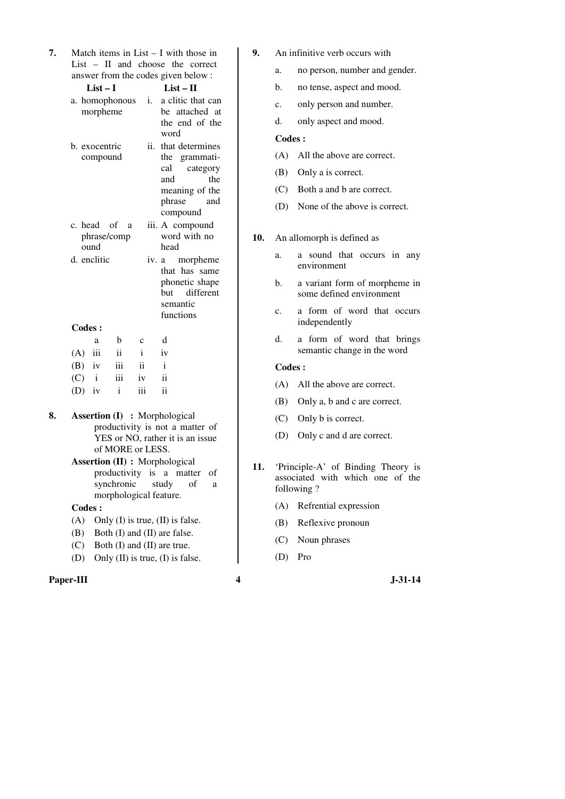| 7. | Match items in List $- I$ with those in |
|----|-----------------------------------------|
|    | $List - II$ and choose the correct      |
|    | answer from the codes given below:      |

|    |               | $List-I$                  |                  |              | $List - II$                                                                                                                                                                            |
|----|---------------|---------------------------|------------------|--------------|----------------------------------------------------------------------------------------------------------------------------------------------------------------------------------------|
|    |               | morpheme                  | a. homophonous   | i.           | a clitic that can<br>be attached at<br>the end of the<br>word                                                                                                                          |
|    |               | b. exocentric<br>compound |                  | ii.          | that determines<br>the grammati-<br>category<br>cal<br>the<br>and<br>meaning of the<br>phrase<br>and<br>compound                                                                       |
|    |               | c. head of<br>ound        | a<br>phrase/comp |              | iii. A compound<br>word with no<br>head                                                                                                                                                |
|    |               | d. enclitic               |                  |              | iv. a morpheme<br>that has same<br>phonetic shape<br>but different<br>semantic<br>functions                                                                                            |
|    | <b>Codes:</b> |                           |                  |              |                                                                                                                                                                                        |
|    |               | a                         | b                | C            | d                                                                                                                                                                                      |
|    | (A)           | iii                       | ii               | $\mathbf{i}$ | iv                                                                                                                                                                                     |
|    | $(B)$ iv      |                           | iii              | ii           | i                                                                                                                                                                                      |
|    | $(C)$ i       |                           | iii              | iv           | ii                                                                                                                                                                                     |
|    | $(D)$ iv      |                           | $\mathbf{i}$     | iii          | $\mathbf{ii}$                                                                                                                                                                          |
| 8. |               |                           | of MORE or LESS. |              | <b>Assertion (I)</b> : Morphological<br>productivity is not a matter of<br>YES or NO, rather it is an issue<br><b>Assertion (II) : Morphological</b><br>productivity is a matter<br>οf |
|    |               |                           | synchronic       |              | of<br>study<br>a                                                                                                                                                                       |

morphological feature.

(A) Only (I) is true, (II) is false. (B) Both (I) and (II) are false. (C) Both (I) and (II) are true. (D) Only (II) is true, (I) is false.

- **9.** An infinitive verb occurs with
	- a. no person, number and gender.
	- b. no tense, aspect and mood.
	- c. only person and number.
	- d. only aspect and mood.

## **Codes :**

- (A) All the above are correct.
- (B) Only a is correct.
- (C) Both a and b are correct.
- (D) None of the above is correct.

## **10.** An allomorph is defined as

- a. a sound that occurs in any environment
- b. a variant form of morpheme in some defined environment
- c. a form of word that occurs independently
- d. a form of word that brings semantic change in the word

## **Codes :**

- (A) All the above are correct.
- (B) Only a, b and c are correct.
- (C) Only b is correct.
- (D) Only c and d are correct.
- **11.** 'Principle-A' of Binding Theory is associated with which one of the following ?
	- (A) Refrential expression
	- (B) Reflexive pronoun
	- (C) Noun phrases
	- (D) Pro

## **Paper-III 4** J-31-14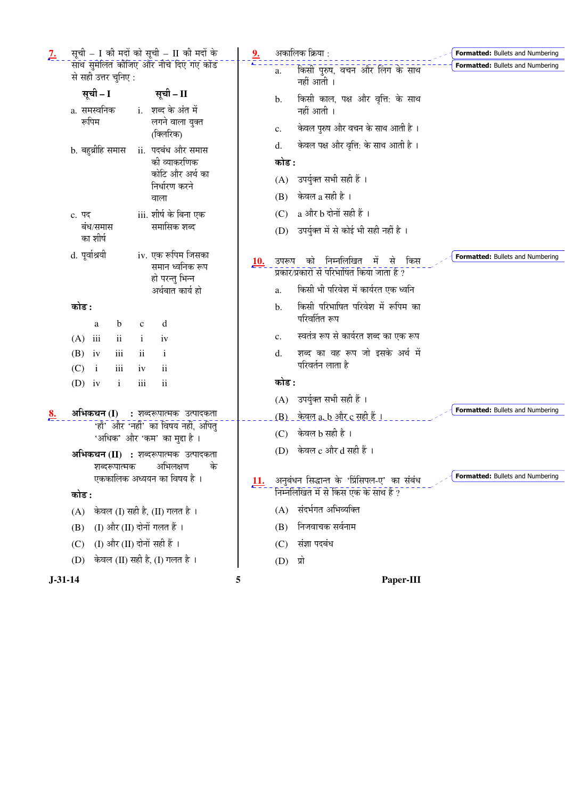| सूची – I की मदों को सूची – II की मदों के<br>$2\cdot$                                       |            | अकालिक क्रिया :                                                                          | Formatted: Bullets and Numbering |
|--------------------------------------------------------------------------------------------|------------|------------------------------------------------------------------------------------------|----------------------------------|
| साथ सुमेलित कीजिए और नीचे दिए गए कोड<br>से सही उत्तर चुनिए:                                |            | किसी पुरुष, वचन और लिंग के साथ<br>a.<br>नहीं आती ।                                       | Formatted: Bullets and Numbering |
| सूची – I<br>सूची – II<br>a. समस्वनिक<br>i. शब्द के अंत में                                 |            | किसी काल, पक्ष और वृत्ति: के साथ<br>b.<br>नहीं आती ।                                     |                                  |
| रूपिम<br>लगने वाला युक्त<br>(क्लिरिक)                                                      |            | केवल पुरुष और वचन के साथ आती है ।<br>c.                                                  |                                  |
| b. बहुब्रीहि समास<br>ii.  पदबंध और समास                                                    |            | केवल पक्ष और वृत्ति: के साथ आती है ।<br>d.                                               |                                  |
| की व्याकरणिक                                                                               |            | कोड :                                                                                    |                                  |
| कोटि और अर्थ का<br>निर्धारण करने                                                           |            | (A) उपर्युक्त सभी सही हैं ।                                                              |                                  |
| वाला                                                                                       |            | केवल a सही है ।<br>(B)                                                                   |                                  |
| iii. शीर्ष के बिना एक<br>c. पद                                                             |            | a और b दोनों सही हैं ।<br>(C)                                                            |                                  |
| समासिक शब्द<br>बंध/समास<br>का शीर्ष                                                        |            | (D) उपर्युक्त में से कोई भी सही नहीं है।                                                 |                                  |
| d. पूर्वाश्रयी<br>iv. एक रूपिम जिसका<br>समान ध्वनिक रूप<br>हो परन्तु भिन्न                 | <u>10.</u> | निम्नलिखित<br>को<br>में से<br>किस<br>उपरूप<br>प्रकार/प्रकारों से परिभाषित किया जाता है ? | Formatted: Bullets and Numbering |
| अर्थबात कार्य हो                                                                           |            | किसी भी परिवेश में कार्यरत एक ध्वनि<br>a.                                                |                                  |
| कोड :<br>b<br>d<br>$\mathbf{C}$<br>a                                                       |            | किसी परिभाषित परिवेश में रूपिम का<br>b.<br>परिवर्तित रूप                                 |                                  |
| iii<br>$\mathbf{ii}$<br>(A)<br>$\mathbf{i}$<br>iv                                          |            | स्वतंत्र रूप से कार्यरत शब्द का एक रूप<br>c.                                             |                                  |
| iii<br>(B)<br>$\overline{\mathbf{u}}$<br>iv<br>$\mathbf{i}$                                |            | शब्द का वह रूप जो इसके अर्थ में<br>d.                                                    |                                  |
| iii<br>(C)<br>ii<br>$\mathbf{i}$<br>iv                                                     |            | परिवर्तन लाता है                                                                         |                                  |
| ii<br>iii<br>$(D)$ iv<br>$\mathbf{i}$                                                      |            | कोड :                                                                                    |                                  |
|                                                                                            |            | (A) उपर्युक्त सभी सही हैं ।                                                              | Formatted: Bullets and Numbering |
| अभिकथन (I)<br>: शब्दरूपात्मक उत्पादकता<br><u>8.</u><br>'हाँ' और 'नहीं' का विषय नहीं, अपितु |            | <u>(B) _ केवल a, b और c सही हैं ।</u>                                                    |                                  |
| 'अधिक' और 'कम' का मुद्दा है ।                                                              |            | $(C)$ केवल $b$ सही है।                                                                   |                                  |
| <b>अभिकथन (II) :</b> शब्दरूपात्मक उत्पादकता<br>अभिलक्षण<br>के<br>शब्दरूपात्मक              |            | (D) केवल c और d सही हैं ।                                                                |                                  |
| एककालिक अध्ययन का विषय है ।<br>कोड :                                                       | <u>11.</u> | अनुबंधन सिद्धान्त के 'प्रिंसिपल-ए' का संबंध<br>निम्नलिखित में से किस एक के साथ है ?      | Formatted: Bullets and Numbering |
| केवल (I) सही है, (II) गलत है ।<br>(A)                                                      |            | संदर्भगत अभिव्यक्ति<br>(A)                                                               |                                  |
| (I) और (II) दोनों गलत हैं ।<br>(B)                                                         |            | निजवाचक सर्वनाम<br>(B)                                                                   |                                  |
| (I) और (II) दोनों सही हैं ।<br>(C)                                                         |            | संज्ञा पदबंध<br>(C)                                                                      |                                  |
| केवल (II) सही है, (I) गलत है ।<br>(D)                                                      |            | $(D)$ प्रो                                                                               |                                  |
| $J-31-14$                                                                                  | 5          | Paper-III                                                                                |                                  |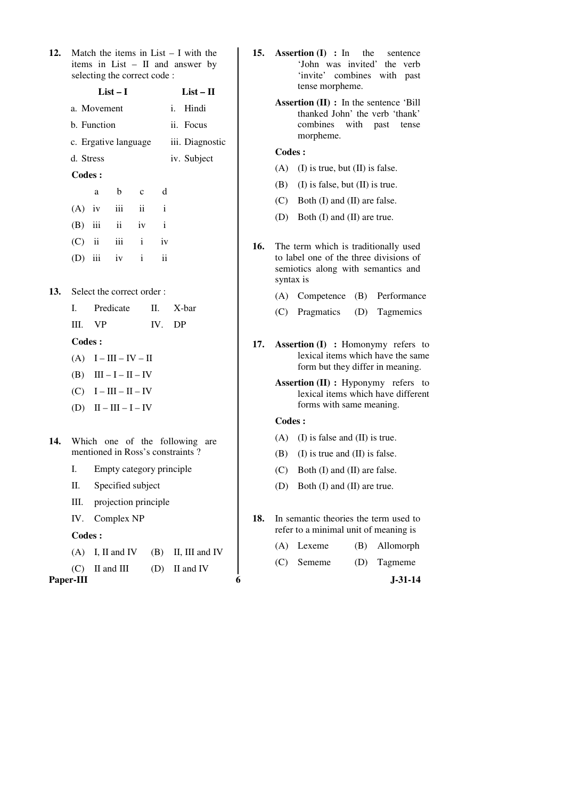**12.** Match the items in List – I with the items in List – II and answer by selecting the correct code :

|     |           | $List-I$    | $List - II$               |              |               |                 |  |
|-----|-----------|-------------|---------------------------|--------------|---------------|-----------------|--|
|     |           | a. Movement |                           |              |               | i. Hindi        |  |
|     |           | b. Function |                           |              |               | ii. Focus       |  |
|     |           |             | c. Ergative language      |              |               | iii. Diagnostic |  |
|     | d. Stress |             |                           |              |               | iv. Subject     |  |
|     | Codes:    |             |                           |              |               |                 |  |
|     |           | a           | b                         | $\mathbf{c}$ | d             |                 |  |
|     |           |             | $(A)$ iv iii ii i         |              |               |                 |  |
|     |           |             | $(B)$ iii ii iv i         |              |               |                 |  |
|     |           |             | $(C)$ ii iii i            |              | iv            |                 |  |
|     |           |             | (D) iii iv $i$            |              | $\mathbf{ii}$ |                 |  |
|     |           |             |                           |              |               |                 |  |
| 13. |           |             | Select the correct order: |              |               |                 |  |
|     |           |             | I. Predicate              |              |               | II. X-bar       |  |
|     | III.      | <b>VP</b>   |                           |              | IV.           | DP              |  |
|     |           |             |                           |              |               |                 |  |

 **Codes :** 

- $(A)$  I III IV II
- (B)  $III I II IV$
- $(C)$  I III II IV
- (D)  $II III I IV$
- **14.** Which one of the following are mentioned in Ross's constraints ?
	- I. Empty category principle
	- II. Specified subject
	- III. projection principle
	- IV. Complex NP

 **Codes :** 

- $(A)$  I, II and IV (B) II, III and IV
- $(C)$  II and III (D) II and IV

**Paper-III 6 J-31-14** 

- **15. Assertion (I) :** In the sentence 'John was invited' the verb 'invite' combines with past tense morpheme.
	- **Assertion (II) :** In the sentence 'Bill thanked John' the verb 'thank' combines with past tense morpheme.

# **Codes :**

- $(A)$  (I) is true, but (II) is false.
- (B) (I) is false, but (II) is true.
- (C) Both (I) and (II) are false.
- (D) Both (I) and (II) are true.
- **16.** The term which is traditionally used to label one of the three divisions of semiotics along with semantics and syntax is
	- (A) Competence (B) Performance
	- (C) Pragmatics (D) Tagmemics
- **17. Assertion (I) :** Homonymy refers to lexical items which have the same form but they differ in meaning.
	- **Assertion (II) :** Hyponymy refers to lexical items which have different forms with same meaning.

- (A) (I) is false and (II) is true.
- (B) (I) is true and (II) is false.
- (C) Both (I) and (II) are false.
- (D) Both (I) and (II) are true.
- **18.** In semantic theories the term used to refer to a minimal unit of meaning is
	- (A) Lexeme (B) Allomorph
	- (C) Sememe (D) Tagmeme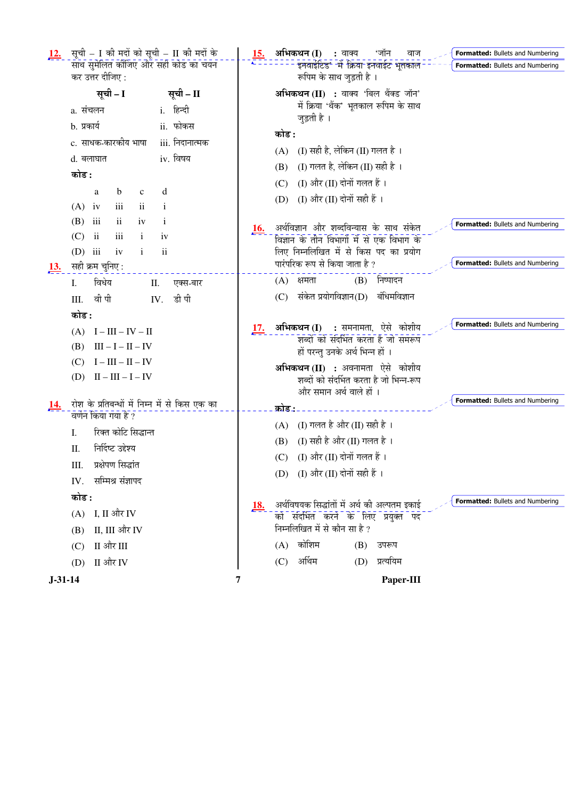| <u>12.</u>    | सूची – I की मदों को सूची – II की मदों के                   | <u>15.</u> | अभिकथन (I)<br>: वाक्य<br>'जॉन<br>वाज<br><b>Formatted:</b> Bullets and Numbering      |
|---------------|------------------------------------------------------------|------------|--------------------------------------------------------------------------------------|
|               | साथ सुमेलित कीजिए और सही कोड का चयन                        |            | इनवाईटिड* में क्रिया इनवाईट भूतकाल<br>Formatted: Bullets and Numbering               |
|               | कर उत्तर दीजिए :                                           |            | रूपिम के साथ जुड़ती है ।                                                             |
|               | सूची - I<br>सूची – II                                      |            | अभिकथन (II) : वाक्य 'बिल थैंक्ड जॉन'                                                 |
|               | i. हिन्दी<br>a. संचलन                                      |            | में क्रिया 'थैंक' भूतकाल रूपिम के साथ<br>जुड़ती है ।                                 |
|               | ii. फोकस<br>b. प्रकार्य                                    |            | कोड :                                                                                |
|               | c. साधक-कारकीय भाषा<br>iii. निदानात्मक                     |            | (I) सही है, लेकिन (II) गलत है।                                                       |
|               | iv. विषय<br>d. बलाघात                                      |            | (A)                                                                                  |
|               | कोड :                                                      |            | (I) गलत है, लेकिन (II) सही है)।<br>(B)                                               |
|               | $\mathbf b$<br>d<br>a<br>$\mathbf c$                       |            | (I) और (II) दोनों गलत हैं ।<br>(C)                                                   |
|               | iii<br>$(A)$ iv<br>$\overline{\mathbf{1}}$<br>$\mathbf{1}$ |            | (D) (I) और (II) दोनों सही हैं ।                                                      |
|               | $\ddot{\mathbf{i}}$<br>iii<br>(B)<br>iv<br>$\bf{1}$        |            | <b>Formatted:</b> Bullets and Numbering                                              |
|               | iii<br>$\mathbf{ii}$<br>(C)<br>$\mathbf{i}$<br>iv          | <b>16.</b> | अर्थविज्ञान और शब्दविन्यास के साथ संकेत<br>विज्ञान के तीन विभागों में से एक विभाग के |
|               | $(D)$ iii<br>$\mathbf{ii}$<br>iv<br>$\mathbf{i}$           |            | लिए निम्नलिखित में से किस पद का प्रयोग                                               |
| <u>13.</u>    | सही क्रम चुनिए :                                           |            | पारंपरिक रूप से किया जाता है ?<br>Formatted: Bullets and Numbering                   |
|               | विधेय<br>I.<br>II.<br>एक्स-बार                             |            | (B) निष्पादन<br>$(A)$ क्षमता                                                         |
|               | वी पी<br>डी पी<br>III.<br>IV.                              |            | संकेत प्रयोगविज्ञान(D)<br>बंधिमविज्ञान<br>(C)                                        |
|               | कोड :                                                      |            |                                                                                      |
|               | $(A)$ $I - III - IV - II$                                  | <u>17.</u> | <b>Formatted:</b> Bullets and Numbering<br><b>अभिकथन (I) :</b> समनामता, ऐसे कोशीय    |
|               | $III - I - II - IV$<br>(B)                                 |            | राब्दों को संदर्भित करता है जो समरूप                                                 |
|               | $I - III - II - IV$<br>(C)                                 |            | हों परन्तु उनके अर्थ भिन्न हों ।                                                     |
|               | $II - III - I - IV$<br>(D)                                 |            | <b>अभिकथन (II) :</b> अवनामता ऐसे कोशीय<br>शब्दों को संदर्भित करता है जो भिन्न-रूप    |
|               |                                                            |            | और समान अर्थ वाले हों ।                                                              |
| 14.           | रोश के प्रतिबन्धों में निम्न में से किस एक का              |            | Formatted: Bullets and Numbering<br>कोड:                                             |
|               | वर्णन किया गया है ?                                        |            | (I) गलत है और (II) सही है ।<br>(A)                                                   |
|               | रिक्त कोटि सिद्धान्त<br>I.                                 |            | (I) सही है और (II) गलत है ।<br>(B)                                                   |
|               | निर्दिष्ट उद्देश्य<br>Π.                                   |            | (I) और (II) दोनों गलत हैं ।<br>(C)                                                   |
|               | प्रक्षेपण सिद्धांत<br>Ш.                                   |            | (D) (I) और (II) दोनों सही हैं ।                                                      |
|               | सम्मिश्र संज्ञापद<br>IV.                                   |            |                                                                                      |
|               | कोड :                                                      | <u>18.</u> | Formatted: Bullets and Numbering<br>अर्थविषयक सिद्धांतों में अर्थ की अल्पतम इकाई     |
|               | $(A)$ I, II और IV                                          |            | को संदर्भित करने के लिए प्रयुक्त पद                                                  |
|               | II, III और IV<br>(B)                                       |            | निम्नलिखित में से कौन सा है ?                                                        |
|               | $(C)$ II और III                                            |            | $(A)$ कोशिम<br>(B)<br>उपरूप                                                          |
|               | II और IV<br>(D)                                            |            | अर्थिम<br>(D) प्रत्ययिम<br>(C)                                                       |
| $J - 31 - 14$ |                                                            | 7          | Paper-III                                                                            |
|               |                                                            |            |                                                                                      |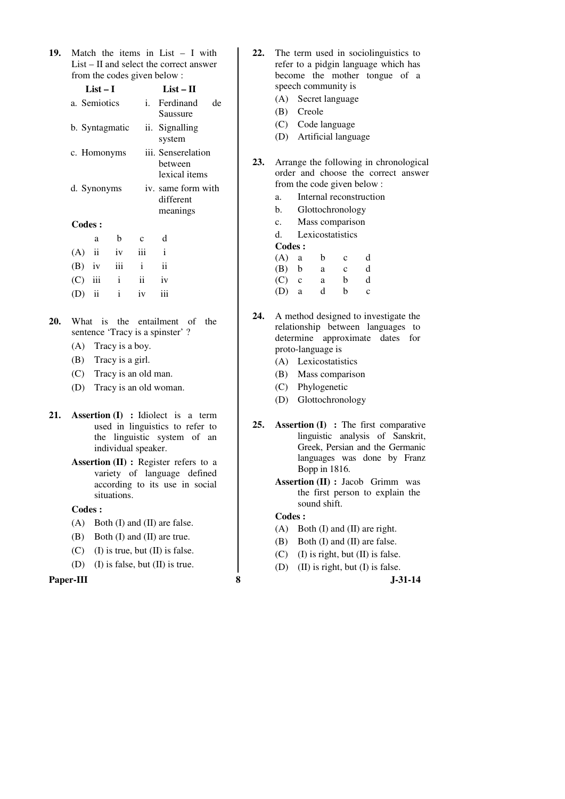| 19. Match the items in List $- I$ with    |
|-------------------------------------------|
| $List - II$ and select the correct answer |
| from the codes given below:               |

|     |          | $List-I$     |                | $List-II$      |                                                               |     |  |  |
|-----|----------|--------------|----------------|----------------|---------------------------------------------------------------|-----|--|--|
|     |          | a. Semiotics |                |                | i. Ferdinand<br>Saussure                                      | de  |  |  |
|     |          |              | b. Syntagmatic | ii. Signalling |                                                               |     |  |  |
|     |          |              | c. Homonyms    |                | iii. Senserelation<br>between<br>lexical items                |     |  |  |
|     |          | d. Synonyms  |                |                | iv. same form with<br>different<br>meanings                   |     |  |  |
|     | Codes :  |              |                |                |                                                               |     |  |  |
|     |          | a            | b              | $\mathbf{C}$   | d                                                             |     |  |  |
|     | (A)      | $\rm ii$     | iv             | iii            | $\mathbf{i}$                                                  |     |  |  |
|     | $(B)$ iv |              | iii            | $\mathbf{i}$   | $\mathbf{ii}$                                                 |     |  |  |
|     |          | $(C)$ iii    | $\mathbf{i}$   | ii             | iv                                                            |     |  |  |
|     | $(D)$ ii |              | $\mathbf{i}$   | iv             | iii                                                           |     |  |  |
| 20. |          |              |                |                | What is the entailment of<br>sentence 'Tracy is a sninster' ? | the |  |  |

- sentence Tracy is a spinster
	- (A) Tracy is a boy.
	- (B) Tracy is a girl.
	- (C) Tracy is an old man.
	- (D) Tracy is an old woman.
- **21. Assertion (I) :** Idiolect is a term used in linguistics to refer to the linguistic system of an individual speaker.
	- **Assertion (II) :** Register refers to a variety of language defined according to its use in social situations.

- (A) Both (I) and (II) are false.
- (B) Both (I) and (II) are true.
- $(C)$  (I) is true, but (II) is false.
- (D) (I) is false, but (II) is true.

## **Paper-III 8 J-31-14**

- **22.** The term used in sociolinguistics to refer to a pidgin language which has become the mother tongue of a speech community is
	- (A) Secret language
	- (B) Creole
	- (C) Code language
	- (D) Artificial language
- **23.** Arrange the following in chronological order and choose the correct answer from the code given below :
	- a. Internal reconstruction
	- b. Glottochronology
	- c. Mass comparison
	- d. Lexicostatistics
	- **Codes :**

| $(A)$ a |   | b | $\mathbf{c}$ | d |
|---------|---|---|--------------|---|
| (B)     | b | a | c            | d |
| $(C)$ c |   | a | h            | d |
| (D)     | a | d | h            | c |

- **24.** A method designed to investigate the relationship between languages to determine approximate dates for proto-language is
	- (A) Lexicostatistics
	- (B) Mass comparison
	- (C) Phylogenetic
	- (D) Glottochronology
- **25. Assertion (I) :** The first comparative linguistic analysis of Sanskrit, Greek, Persian and the Germanic languages was done by Franz Bopp in 1816.
	- **Assertion (II) :** Jacob Grimm was the first person to explain the sound shift.

- (A) Both (I) and (II) are right.
- (B) Both (I) and (II) are false.
- $(C)$  (I) is right, but (II) is false.
- (D) (II) is right, but (I) is false.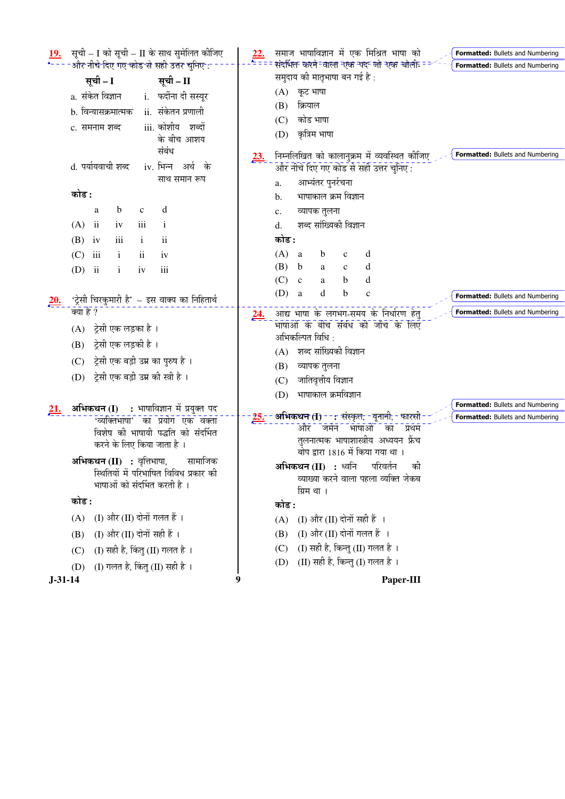|                                |                                         | सूची – I को सूची – II के साथ सुमेलित कीजिए                                   | 22.        |       | समाज भाषाविज्ञान में एक मिश्रित भाषा को                            |              |              |                                              | <b>Formatted:</b> Bullets and Numbering |
|--------------------------------|-----------------------------------------|------------------------------------------------------------------------------|------------|-------|--------------------------------------------------------------------|--------------|--------------|----------------------------------------------|-----------------------------------------|
|                                |                                         | और नीचे दिए गए कोड से सही उत्तर चुनिए :                                      |            |       | संदर्भित करने-वाला एक पद जो एक बोली-                               |              |              |                                              | Formatted: Bullets and Numbering        |
| सूची – I                       |                                         | सूची – II                                                                    |            |       | समुदाय की मातृभाषा बन गई है :                                      |              |              |                                              |                                         |
| a. संकेत विज्ञान               |                                         | i. फर्दीना दी सस्यूर                                                         |            |       | $(A)$ कूट भाषा                                                     |              |              |                                              |                                         |
|                                | b. विन्यासक्रमात्मक                     | ii. संकेतन प्रणाली                                                           |            | (B)   | क्रियाल                                                            |              |              |                                              |                                         |
| c. समनाम शब्द                  |                                         | iii. कोशीय शब्दों                                                            |            | (C)   | कोड भाषा                                                           |              |              |                                              |                                         |
|                                |                                         | के बीच आशय                                                                   |            | (D)   | कृत्रिम भाषा                                                       |              |              |                                              |                                         |
|                                |                                         | संबंध                                                                        | <u>23.</u> |       |                                                                    |              |              | निम्नलिखित को कालानुक्रम में व्यवस्थित कीजिए | Formatted: Bullets and Numbering        |
| d. पर्यायवाची शब्द             |                                         | iv. भिन्न अर्थ के                                                            |            |       | और नीचे दिए गए कोड से सही उत्तर चुनिए:                             |              |              |                                              |                                         |
|                                |                                         | साथ समान रूप                                                                 |            | a.    | आभ्यंतर पुनर्रचना                                                  |              |              |                                              |                                         |
| कोड :                          |                                         |                                                                              |            | b.    | भाषाकाल क्रम विज्ञान                                               |              |              |                                              |                                         |
| a                              | b<br>$\mathbf c$                        | d                                                                            |            | c.    | व्यापक तुलना                                                       |              |              |                                              |                                         |
| (A)<br>$\overline{\mathbf{u}}$ | iii<br>iv                               | $\bf{1}$                                                                     |            | d.    | शब्द सांख्यिकी विज्ञान                                             |              |              |                                              |                                         |
| (B)<br>iv                      | iii<br>$\mathbf{i}$                     | $\mathbf{ii}$                                                                |            | कोड : |                                                                    |              |              |                                              |                                         |
| iii<br>(C)                     | $\mathbf{i}$<br>$\overline{\mathbf{u}}$ | iv                                                                           |            | (A)   | a<br>$\mathbf b$                                                   | $\mathbf c$  | d            |                                              |                                         |
| $\ddot{\mathbf{i}}$<br>(D)     | $\mathbf{i}$<br>iv                      | iii                                                                          |            | (B)   | b<br>a                                                             | $\mathbf{c}$ | d            |                                              |                                         |
|                                |                                         |                                                                              |            | (C)   | $\mathbf{c}$<br>a                                                  | b            | d            |                                              |                                         |
| 20.                            |                                         | 'ट्रेसी चिरकुमारी है' – इस वाक्य का निहितार्थ                                |            | (D)   | a<br>d                                                             | b            | $\mathbf{C}$ |                                              | <b>Formatted:</b> Bullets and Numbering |
| क्या है ?                      |                                         |                                                                              | <u>24.</u> |       | आद्य भाषा के लगभग-समय के निर्धारण हेतु                             |              |              |                                              | Formatted: Bullets and Numbering        |
| (A)                            | ट्रेसी एक लड़का है ।                    |                                                                              |            |       | भाषाओं के बीच संबंध की जाँच के लिए                                 |              |              |                                              |                                         |
| (B)                            | ट्रेसी एक लड़की है ।                    |                                                                              |            |       | अभिकल्पित विधि :                                                   |              |              |                                              |                                         |
| (C)                            | ट्रेसी एक बड़ी उम्र का पुरुष है ।       |                                                                              |            |       | (A) शब्द सांख्यिकी विज्ञान                                         |              |              |                                              |                                         |
| (D)                            | ट्रेसी एक बड़ी उम्र की स्त्री है ।      |                                                                              |            | (B)   | व्यापक तुलना                                                       |              |              |                                              |                                         |
|                                |                                         |                                                                              |            | (C)   | जातिवृत्तीय विज्ञान                                                |              |              |                                              |                                         |
|                                |                                         |                                                                              |            | (D)   | भाषाकाल क्रमविज्ञान                                                |              |              |                                              | <b>Formatted:</b> Bullets and Numbering |
| <u>21.</u>                     |                                         | अभिकथन (I) : भाषाविज्ञान में प्रयुक्त पद<br>'व्यक्तिभाषा' का प्रयोग एक वक्ता | $25 -$     |       | <b>अभिकथन (I) - - :</b> संस्कृत, -यूनानी, - फारसी                  |              |              |                                              | <b>Formatted:</b> Bullets and Numbering |
|                                |                                         | विशेष की भाषायी पद्धति को संदर्भित                                           |            |       | और<br>जर्मन                                                        |              | भाषाओं का    | प्रथम                                        |                                         |
|                                | करने के लिए किया जाता है ।              |                                                                              |            |       | तुलनात्मक भाषाशास्त्रीय अध्ययन फ्रेंच                              |              |              |                                              |                                         |
|                                | अभिकथन (II) : वृत्तिभाषा,               | सामाजिक                                                                      |            |       | बोप द्वारा 1816 में किया गया था ।                                  |              |              |                                              |                                         |
|                                |                                         | स्थितियों में परिभाषित विविध प्रकार की                                       |            |       | <b>अभिकथन (II) :</b> ध्वनि<br>व्याख्या करने वाला पहला व्यक्ति जेकब |              | परिवर्तन     | की                                           |                                         |
|                                | भाषाओं को संदर्भित करती है ।            |                                                                              |            |       | ग्रिम था ।                                                         |              |              |                                              |                                         |
| कोड :                          |                                         |                                                                              |            | कोड : |                                                                    |              |              |                                              |                                         |
| (A)                            | (I) और (II) दोनों गलत हैं ।             |                                                                              |            | (A)   | (I) और (II) दोनों सही हैं ।                                        |              |              |                                              |                                         |
| (B)                            | (I) और (II) दोनों सही हैं ।             |                                                                              |            | (B)   | (I) और (II) दोनों गलत हैं ।                                        |              |              |                                              |                                         |
| (C)                            | (I) सही है, किंतु (II) गलत है।          |                                                                              |            | (C)   | (I) सही है, किन्तु (II) गलत है।                                    |              |              |                                              |                                         |
| (D)                            | (I) गलत है, किंतु (II) सही है ।         |                                                                              |            | (D)   | (II) सही है, किन्तु (I) गलत है।                                    |              |              |                                              |                                         |
| $J-31-14$                      |                                         |                                                                              | 9          |       |                                                                    |              |              | Paper-III                                    |                                         |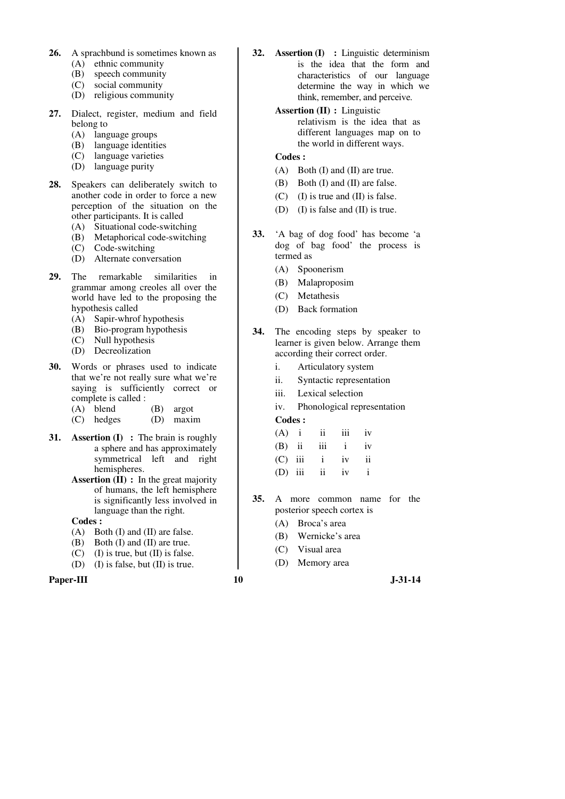- **26.** A sprachbund is sometimes known as (A) ethnic community
	- (B) speech community
	- (C) social community
	- (D) religious community
- **27.** Dialect, register, medium and field belong to
	- (A) language groups
	- (B) language identities
	- (C) language varieties
	- (D) language purity
- **28.** Speakers can deliberately switch to another code in order to force a new perception of the situation on the other participants. It is called
	- (A) Situational code-switching
	- (B) Metaphorical code-switching
	- (C) Code-switching
	- (D) Alternate conversation
- **29.** The remarkable similarities in grammar among creoles all over the world have led to the proposing the hypothesis called
	- (A) Sapir-whrof hypothesis
	- (B) Bio-program hypothesis
	- (C) Null hypothesis
	- (D) Decreolization
- **30.** Words or phrases used to indicate that we're not really sure what we're saying is sufficiently correct or complete is called :
	- (A) blend (B) argot<br>(C) hedges (D) maxii
	- (D) maxim
- **31. Assertion (I)** : The brain is roughly a sphere and has approximately symmetrical left and right hemispheres.
	- **Assertion (II) :** In the great majority of humans, the left hemisphere is significantly less involved in language than the right.

- (A) Both (I) and (II) are false.
- (B) Both (I) and (II) are true.
- $(C)$  (I) is true, but (II) is false.
- (D) (I) is false, but (II) is true.

## **Paper-III 10** J-31-14

- **32. Assertion (I) :** Linguistic determinism is the idea that the form and characteristics of our language determine the way in which we think, remember, and perceive.
	- **Assertion (II) :** Linguistic relativism is the idea that as different languages map on to the world in different ways.

## **Codes :**

- (A) Both (I) and (II) are true.
- (B) Both (I) and (II) are false.
- $(C)$  (I) is true and (II) is false.
- (D) (I) is false and (II) is true.
- **33.** 'A bag of dog food' has become 'a dog of bag food' the process is termed as
	- (A) Spoonerism
	- (B) Malaproposim
	- (C) Metathesis
	- (D) Back formation
- **34.** The encoding steps by speaker to learner is given below. Arrange them according their correct order.
	- i. Articulatory system
	- ii. Syntactic representation
	- iii. Lexical selection

iv. Phonological representation

|  | $(A)$ i ii iii iv |  |
|--|-------------------|--|
|  | $(B)$ ii iii i iv |  |
|  | $(C)$ iii i iv ii |  |
|  | $(D)$ iii ii iv i |  |

- **35.** A more common name for the posterior speech cortex is
	- (A) Broca's area
	- (B) Wernicke's area
	- (C) Visual area
	- (D) Memory area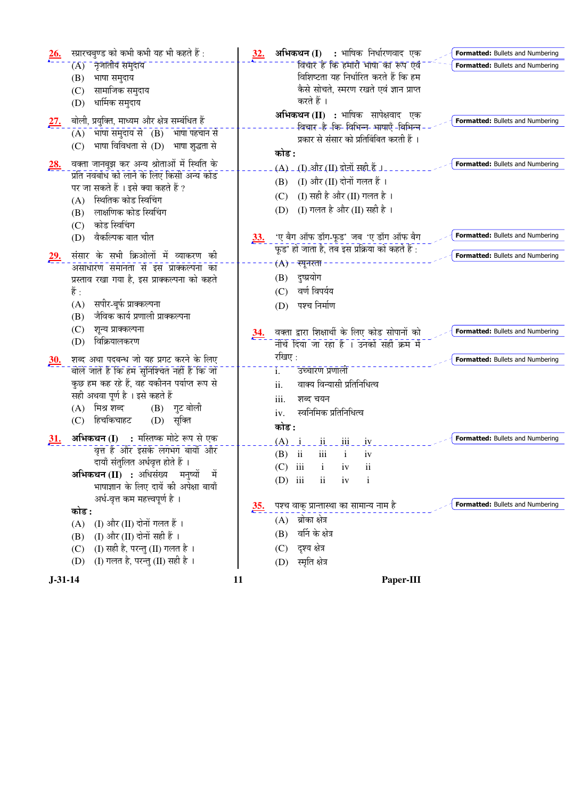| स्प्रारचबुण्ड को कभी कभी यह भी कहते हैं :<br>$\frac{26.}{5}$<br>$\overline{(A)}$ - नृजातीय समुदाय<br>(B) भाषा समुदाय<br>सामाजिक समुदाय<br>(C)<br>धार्मिक समुदाय<br>(D)<br>बोली, प्रयुक्ति, माध्यम और क्षेत्र सम्बंधित हैं<br><u>27.</u><br>भाषा समुदाय से   (B)   भाषा पहचान से<br>(A)<br>भाषा विविधता से (D) भाषा शुद्धता से<br>(C)<br>वक्ता जानबूझ कर अन्य श्रोताओं में स्थिति के<br><u>28.</u><br>प्रति नवबोध को लाने के लिए किसी अन्य कोड<br>पर जा सकते हैं । इसे क्या कहते हैं ?<br>स्थितिक कोड स्विचिंग<br>(A)<br>लाक्षणिक कोड स्विचिंग<br>(B) | अभिकथन (I) : भाषिक निर्धारणवाद एक<br><u>32.</u><br>Formatted: Bullets and Numbering<br>विचार हे कि हमारी भाषा का रूप एवं<br>Formatted: Bullets and Numbering<br>विशिष्टता यह निर्धारित करते हैं कि हम<br>कैसे सोचते, स्मरण रखते एवं ज्ञान प्राप्त<br>करते हैं ।<br>अभिकथन (II) : भाषिक सापेक्षवाद एक<br>Formatted: Bullets and Numbering<br>क्विचार -हे -कि- विभिन्न- भाषाएँ -विभिन्न<br>प्रकार से संसार को प्रतिबिंबित करती हैं ।<br>कोड :<br>Formatted: Bullets and Numbering<br>(A) - (I) और (II) दोनों सही हैं ।<br>(I) और (II) दोनों गलत हैं ।<br>(B)<br>(I) सही है और (II) गलत है।<br>(C)<br>(I) गलत है और (II) सही है)।<br>(D) |
|------------------------------------------------------------------------------------------------------------------------------------------------------------------------------------------------------------------------------------------------------------------------------------------------------------------------------------------------------------------------------------------------------------------------------------------------------------------------------------------------------------------------------------------------------|---------------------------------------------------------------------------------------------------------------------------------------------------------------------------------------------------------------------------------------------------------------------------------------------------------------------------------------------------------------------------------------------------------------------------------------------------------------------------------------------------------------------------------------------------------------------------------------------------------------------------------------|
| कोड स्विचिंग<br>(C)<br>वैकल्पिक बात चीत<br>(D)<br>संसार के सभी क्रिओलों में व्याकरण की<br><u>29.</u><br>असाधारण समानता से इस प्राक्कल्पना का<br>प्रस्ताव रखा गया है, इस प्राक्कल्पना को कहते<br>हैं :<br>सपीर-बूर्फ प्राक्कल्पना<br>(A)<br>जैविक कार्य प्रणाली प्राक्कल्पना<br>(B)                                                                                                                                                                                                                                                                   | Formatted: Bullets and Numbering<br>'ए बैग ऑफ डॉग-फूड' जब 'ए डॉग ऑफ बैग<br>33.<br>फूड' हो जाता है, तब इस प्रक्रिया को कहते हैं :<br>Formatted: Bullets and Numbering<br>$(A)$ - स्पूनरता<br>दुष्प्रयोग<br>(B)<br>वर्ण विपर्यय<br>(C)<br>पश्च निर्माण<br>(D)                                                                                                                                                                                                                                                                                                                                                                           |
| शून्य प्राक्कल्पना<br>(C)<br>विक्रियालकरण<br>(D)<br>शब्द अथा पदबन्ध जो यह प्रगट करने के लिए<br><u>30.</u><br>बोले जाते हैं कि हम सुनिश्चित नहीं हैं कि जो<br>कुछ हम कह रहे हैं, वह यकीनन पर्याप्त रूप से<br>सही अथवा पूर्ण है । इसे कहते हैं<br>(A) मिश्र शब्द<br>$(B)$ गुट बोली                                                                                                                                                                                                                                                                     | वक्ता द्वारा शिक्षार्थी के लिए कोड सोपानों को<br>Formatted: Bullets and Numbering<br><u>34.</u><br>नीचे दिया जा रहा है । उनको सही क्रम में<br>रखिए:<br>Formatted: Bullets and Numbering<br>उच्चारण प्रणाली<br>i.<br>वाक्य विन्यासी प्रतिनिधित्व<br>ii.<br>iii.<br>शब्द चयन                                                                                                                                                                                                                                                                                                                                                            |
| हिचकिचाहट<br>(D) सूक्ति<br>(C)<br>अभिकथन (I) : मस्तिष्क मोटे रूप से एक<br><u>31.</u><br>वृत्त है और इसके लगभग बायाँ और<br>दायाँ संतुलित अर्धवृत्त होते हैं ।<br>अभिकथन (II) : अधिसंख्य मनुष्यों<br>भाषाज्ञान के लिए दायें की अपेक्षा बायाँ<br>अर्ध-वृत्त कम महत्त्वपूर्ण है ।<br>कोड :<br>(I) और (II) दोनों गलत हैं ।<br>(A)<br>(I) और (II) दोनों सही हैं ।<br>(B)                                                                                                                                                                                   | स्वनिमिक प्रतिनिधित्व<br>iv.<br>कोड :<br>Formatted: Bullets and Numbering<br>$(A)$ $\dot{1}$ $\dot{1}$ $\dot{1}$ $\dot{1}$ $\dot{1}$ $\dot{1}$ $\dot{1}$ $\dot{1}$ $\dot{1}$ $\dot{1}$<br>iii<br>$\overline{\mathbf{u}}$<br>(B)<br>$\mathbf{i}$<br>iv<br>$(C)$ iii<br>$\overline{\mathbf{u}}$<br>i.<br>iv<br>$(D)$ iii<br>$\mathbf{i}$<br>$\overline{\mathbf{u}}$<br>iv<br>Formatted: Bullets and Numbering<br>पश्च वाक् प्रान्तास्था का सामान्य नाम है<br><u>35.</u><br>ब्रोका क्षेत्र<br>(A)<br>वर्नि के क्षेत्र<br>(B)                                                                                                             |
| (I) सही है, परन्तु (II) गलत है।<br>(C)<br>(I) गलत है, परन्तु (II) सही है।<br>(D)<br>$J-31-14$                                                                                                                                                                                                                                                                                                                                                                                                                                                        | दृश्य क्षेत्र<br>(C)<br>स्मृति क्षेत्र<br>(D)<br>11<br>Paper-III                                                                                                                                                                                                                                                                                                                                                                                                                                                                                                                                                                      |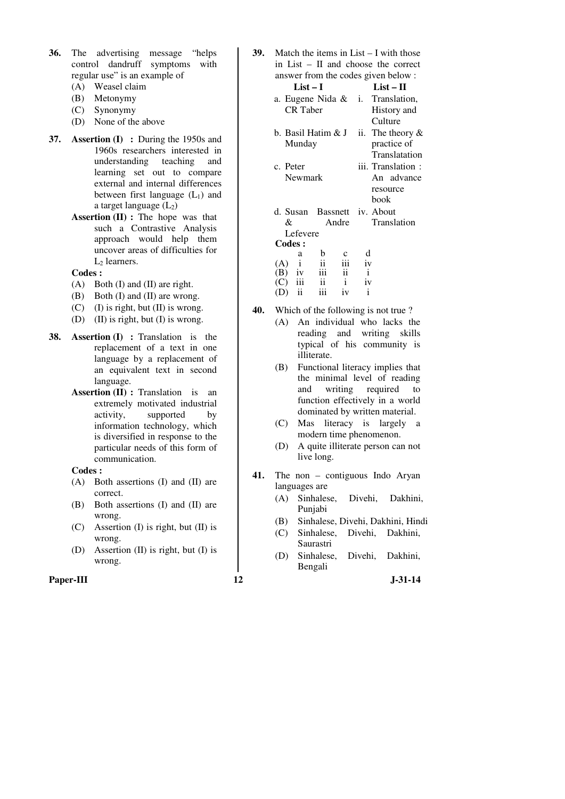- **36.** The advertising message "helps control dandruff symptoms with regular use" is an example of
	- (A) Weasel claim
	- (B) Metonymy
	- (C) Synonymy
	- (D) None of the above
- **37. Assertion (I) :** During the 1950s and 1960s researchers interested in understanding teaching and learning set out to compare external and internal differences between first language  $(L_1)$  and a target language  $(L_2)$ 
	- **Assertion (II) :** The hope was that such a Contrastive Analysis approach would help them uncover areas of difficulties for  $L_2$  learners.

- (A) Both (I) and (II) are right.
- (B) Both (I) and (II) are wrong.
- (C) (I) is right, but (II) is wrong.
- (D) (II) is right, but (I) is wrong.
- **38. Assertion (I)** : Translation is the replacement of a text in one language by a replacement of an equivalent text in second language.
	- **Assertion (II) :** Translation is an extremely motivated industrial activity, supported by information technology, which is diversified in response to the particular needs of this form of communication.

#### **Codes :**

- (A) Both assertions (I) and (II) are correct.
- (B) Both assertions (I) and (II) are wrong.
- (C) Assertion (I) is right, but (II) is wrong.
- (D) Assertion (II) is right, but (I) is wrong.

## **Paper-III 12 J-31-14**

**39.** Match the items in List – I with those in List – II and choose the correct answer from the codes given below :

|                                                         |   |                       |              | $\frac{1}{2}$                    |
|---------------------------------------------------------|---|-----------------------|--------------|----------------------------------|
| $List-I$                                                |   |                       |              | $List - II$                      |
|                                                         |   |                       |              | a. Eugene Nida & i. Translation, |
| <b>CR</b> Taber                                         |   |                       |              | History and                      |
|                                                         |   |                       |              | Culture                          |
| b. Basil Hatim & J                                      |   |                       |              | ii. The theory $\&$              |
| Munday                                                  |   |                       |              | practice of                      |
|                                                         |   |                       |              | Translatation                    |
| c. Peter                                                |   |                       |              | iii. Translation :               |
| Newmark                                                 |   |                       |              | An advance                       |
|                                                         |   |                       |              | resource                         |
|                                                         |   |                       |              | book                             |
| d. Susan Bassnett iv. About                             |   |                       |              |                                  |
| &                                                       |   |                       |              | Andre Translation                |
| Lefevere                                                |   |                       |              |                                  |
| <b>Codes:</b>                                           |   |                       |              |                                  |
| a                                                       | b |                       | d            |                                  |
| $\mathbf{i}$                                            |   | iii                   | iv           |                                  |
| (A) $\overrightarrow{i}$ ii<br>(B) iv iii<br>(C) iii ii |   | $\overrightarrow{ii}$ | $\mathbf{i}$ |                                  |
|                                                         |   | $\mathbf{i}$          | iv           |                                  |

- $(D)$  ii iii iv i
- **40.** Which of the following is not true ?
	- (A) An individual who lacks the reading and writing skills typical of his community is illiterate.
	- (B) Functional literacy implies that the minimal level of reading<br>and writing required to writing required to function effectively in a world dominated by written material.
	- (C) Mas literacy is largely a modern time phenomenon.
	- (D) A quite illiterate person can not live long.
- **41.** The non contiguous Indo Aryan languages are
	- (A) Sinhalese, Divehi, Dakhini, Punjabi
	- (B) Sinhalese, Divehi, Dakhini, Hindi
	- (C) Sinhalese, Divehi, Dakhini, Saurastri
	- (D) Sinhalese, Divehi, Dakhini, Bengali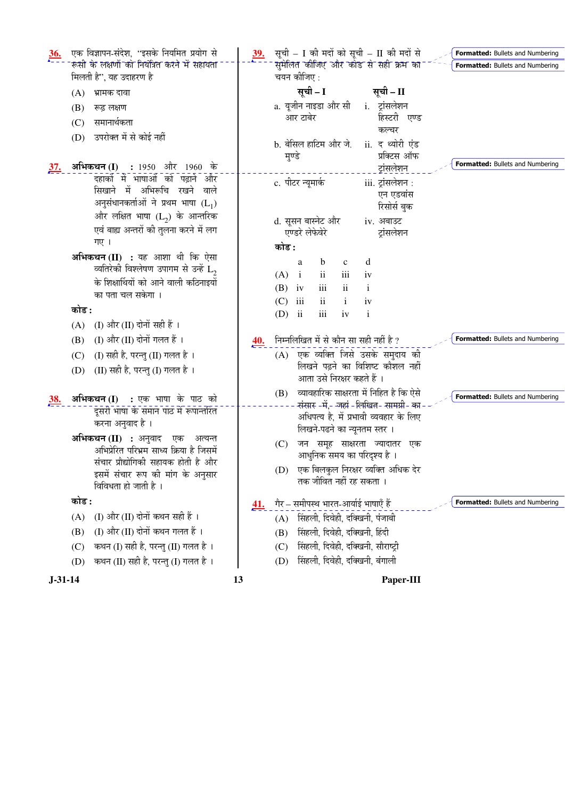| एक विज्ञापन-संदेश, ''इसके नियमित प्रयोग से<br>$\frac{36}{2}$ | सूची - I की मदों को सूची - II की मदों से<br><u>39.</u><br><b>Formatted:</b> Bullets and Numbering |  |
|--------------------------------------------------------------|---------------------------------------------------------------------------------------------------|--|
| रूसी के लक्षणों को नियंत्रित करने में सहायता                 | सुमेलित कीजिए और कोड से सही क्रम का<br>Formatted: Bullets and Numbering                           |  |
| मिलती है", यह उदाहरण है                                      | चयन कीजिए :                                                                                       |  |
| भ्रामक दावा<br>(A)                                           | सूची - I<br>सूची – II                                                                             |  |
| (B)<br>रूढ लक्षण                                             | a. यूजीन नाइडा और सी<br>i. ट्रांसलेशन                                                             |  |
| समानार्थकता<br>(C)                                           | हिस्टरी एण्ड<br>आर टाबेर<br>कल्चर                                                                 |  |
| उपरोक्त में से कोई नहीं<br>(D)                               | b. बेसिल हाटिम और जे. ii. द थ्योरी एंड                                                            |  |
|                                                              | प्रक्टिस ऑफ<br>मृण्डे                                                                             |  |
| <b>अभिकथन (I) :</b> 1950 और 1960 के<br><u>37.</u>            | Formatted: Bullets and Numbering<br>ट्रांसलेशन                                                    |  |
| दहाकों में भाषाओं को पढ़ाने और                               | c. पीटर न्यूमार्क<br>iii. ट्रांसलेशन :                                                            |  |
| सिखाने में अभिरूचि रखने<br>वाले                              | एन एडवांस                                                                                         |  |
| अनुसंधानकर्ताओं ने प्रथम भाषा $(L_1)$                        | रिसोर्स बुक                                                                                       |  |
| और लक्षित भाषा $(L_2)$ के आन्तरिक                            | d. सूसन बास्नेट और<br>iv. अबाउट                                                                   |  |
| एवं बाह्य अन्तरों की तुलना करने में लग<br>गए ।               | एण्डरे लेफेवेरे<br>ट्रांसलेशन                                                                     |  |
| अभिकथन (II) : यह आशा थी कि ऐसा                               | कोड :                                                                                             |  |
| व्यतिरेकी विश्लेषण उपागम से उन्हें $\mathtt{L}_2$            | d<br>$\mathbf b$<br>$\mathbf{C}$<br>a                                                             |  |
| के शिक्षार्थियों को आने वाली कठिनाइयों                       | (A)<br>$\mathbf{ii}$<br>iii<br>$\mathbf{i}$<br>iv                                                 |  |
| का पता चल सकेगा ।                                            | (B)<br>iii<br>$\mathbf{i}$<br>iv<br><i>ii</i>                                                     |  |
| कोड :                                                        | iii<br>$\mathbf{ii}$<br>(C)<br>i.<br>iv<br>iii<br>$\mathbf{i}$<br>$(D)$ ii<br>iv                  |  |
| (I) और (II) दोनों सही हैं ।<br>(A)                           |                                                                                                   |  |
| (I) और (II) दोनों गलत हैं ।<br>(B)                           | निम्नलिखित में से कौन सा सही नहीं है ?<br><b>Formatted:</b> Bullets and Numbering<br><u>40.</u>   |  |
| (I) सही है, परन्तु (II) गलत है ।<br>(C)                      | एक व्यक्ति जिसे उसके समुदाय की<br>(A)                                                             |  |
| (II) सही है, परन्तु (I) गलत है ।<br>(D)                      | लिखने पढ़ने का विशिष्ट कौशल नहीं                                                                  |  |
|                                                              | आता उसे निरक्षर कहते हैं ।                                                                        |  |
| अभिकथन (I) : एक भाषा के पाठ को<br><u>38.</u>                 | व्यावहारिक साक्षरता में निहित है कि ऐसे<br>(B)<br>Formatted: Bullets and Numbering                |  |
| दूसरी भाषा के समान पाठ में रूपान्तरित                        | संसार -में,- जहां - लिखित- सामग्री- का                                                            |  |
| करना अनुवाद है ।                                             | अधिपत्य है, में प्रभावी व्यवहार के लिए<br>लिखने-पढने का न्यूनतम स्तर ।                            |  |
| अभिकथन (II) : अनुवाद एक अत्यन्त                              | जन समूह साक्षरता ज्यादातर एक                                                                      |  |
| अभिप्रेरित परिभ्रम साध्य क्रिया है जिसमें                    | (C)<br>आधुनिक समय का परिदृश्य है ।                                                                |  |
| संचार प्रौद्योगिकी सहायक होती है और                          | (D) एक बिलकुल निरक्षर व्यक्ति अधिक देर                                                            |  |
| इसमें संचार रूप की मांग के अनुसार<br>विविधता हो जाती है ।    | तक जीवित नहीं रह सकता ।                                                                           |  |
|                                                              |                                                                                                   |  |
| कोड :                                                        | गैर – समीपस्थ भारत-आर्याई भाषाएँ हैं<br>Formatted: Bullets and Numbering<br><u>41.</u>            |  |
| (I) और (II) दोनों कथन सही हैं ।<br>(A)                       | सिंहली, दिवेही, दक्खिनी, पंजाबी<br>(A)                                                            |  |
| (I) और (II) दोनों कथन गलत हैं ।<br>(B)                       | सिंहली, दिवेही, दक्खिनी, हिंदी<br>(B)                                                             |  |
| कथन (I) सही है, परन्तु (II) गलत है।<br>(C)                   | सिंहली, दिवेही, दक्खिनी, सौराष्ट्री<br>(C)                                                        |  |
| कथन (II) सही है, परन्तु (I) गलत है।<br>(D)                   | सिंहली, दिवेही, दक्खिनी, बंगाली<br>(D)                                                            |  |
| $J-31-14$                                                    | 13<br>Paper-III                                                                                   |  |
|                                                              |                                                                                                   |  |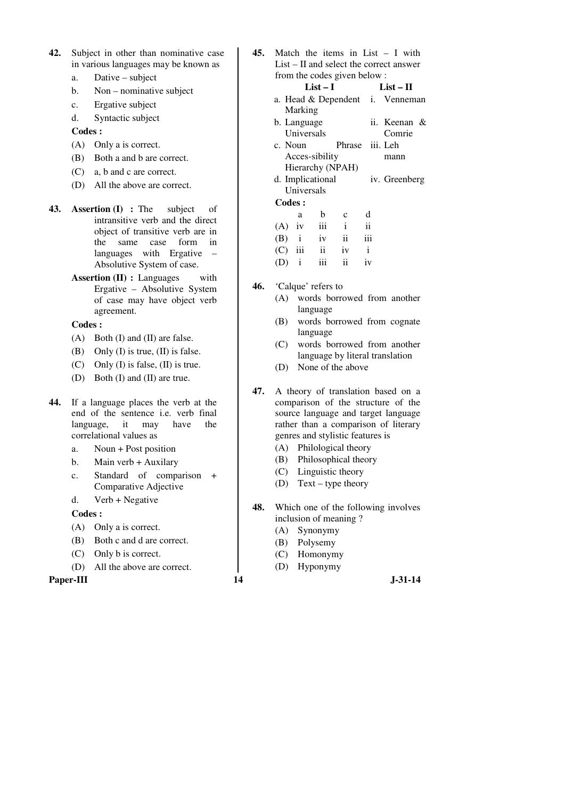- **42.** Subject in other than nominative case in various languages may be known as
	- a. Dative subject
	- b. Non nominative subject
	- c. Ergative subject
	- d. Syntactic subject
	- **Codes :**
	- (A) Only a is correct.
	- (B) Both a and b are correct.
	- (C) a, b and c are correct.
	- (D) All the above are correct.
- **43. Assertion (I) :** The subject of intransitive verb and the direct object of transitive verb are in the same case form in languages with Ergative – Absolutive System of case.
	- **Assertion (II) : Languages** with Ergative – Absolutive System of case may have object verb agreement.

- (A) Both (I) and (II) are false.
- (B) Only (I) is true, (II) is false.
- (C) Only (I) is false, (II) is true.
- (D) Both (I) and (II) are true.
- **44.** If a language places the verb at the end of the sentence i.e. verb final language, it may have the correlational values as
	- a. Noun + Post position
	- b. Main verb + Auxilary
	- c. Standard of comparison + Comparative Adjective
	- d. Verb + Negative

## **Codes :**

- (A) Only a is correct.
- (B) Both c and d are correct.
- (C) Only b is correct.
- (D) All the above are correct.

## **Paper-III 14** J-31-14

**45.** Match the items in List – I with List – II and select the correct answer from the codes given below :

# **List – I List – II**

- a. Head & Dependent i. Venneman Marking
- b. Language Universals ii. Keenan & Comrie c. Noun Phrase iii. Leh mann
- Acces-sibility Hierarchy (NPAH)
- d. Implicational Universals iv. Greenberg

|     | a            | b.                        | $\mathbf{c}$ | d   |
|-----|--------------|---------------------------|--------------|-----|
|     | $(A)$ iv     | $\overline{\mathbf{iii}}$ | i.           | ii  |
|     |              | $(B)$ i iv                | ii           | iii |
|     |              | $(C)$ iii ii              | iv           |     |
| (D) | $\mathbf{i}$ | $\overline{111}$          | ii.          | iv  |

- **46.** 'Calque' refers to
	- (A) words borrowed from another language
	- (B) words borrowed from cognate language
	- (C) words borrowed from another language by literal translation
	- (D) None of the above
- **47.** A theory of translation based on a comparison of the structure of the source language and target language rather than a comparison of literary genres and stylistic features is
	- (A) Philological theory
	- (B) Philosophical theory
	- (C) Linguistic theory
	- (D) Text type theory
- **48.** Which one of the following involves inclusion of meaning ?
	- (A) Synonymy
	- (B) Polysemy
	- (C) Homonymy
	- (D) Hyponymy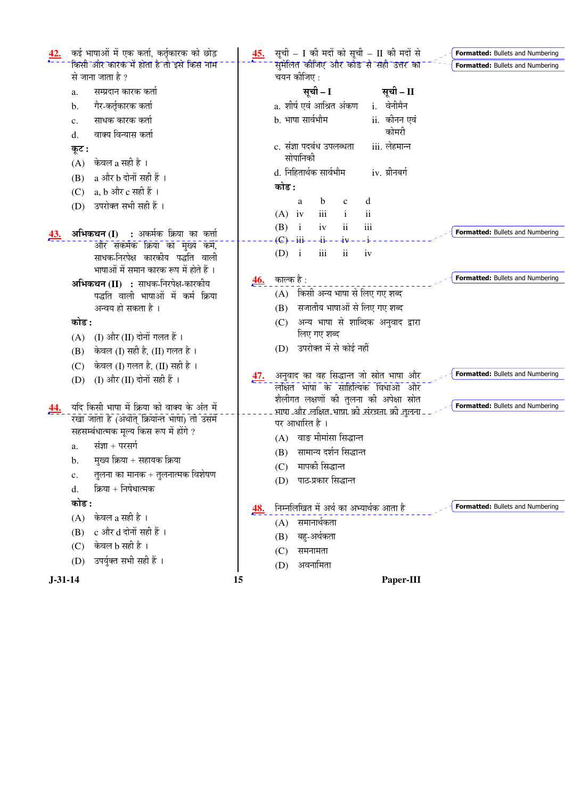| कई भाषाओं में एक कर्ता, कर्तृकारक को छोड़                  | सूची – I की मदों को सूची – II की मदों से<br><u>45.</u><br><b>Formatted:</b> Bullets and Numbering |
|------------------------------------------------------------|---------------------------------------------------------------------------------------------------|
| किसी और कारक में होता है तो इसे किस नाम                    | सुमेलित कीजिए और कोड से सही उत्तर का<br>Formatted: Bullets and Numbering                          |
| से जाना जाता है ?                                          | चयन कीजिए :                                                                                       |
| सम्प्रदान कारक कर्ता<br>a.                                 | सूची – I<br>सूची – II                                                                             |
| गैर-कर्तृकारक कर्ता<br>b.                                  | a. शीर्ष एवं आश्रित अंकण<br>i. वेनीमैन                                                            |
| साधक कारक कर्ता<br>c.                                      | b. भाषा सार्वभौम<br>ii.  कीनन एवं                                                                 |
| वाक्य विन्यास कर्ता<br>d.                                  | कोमरी                                                                                             |
| कूट :                                                      | iii. लेहमान्न<br>c. संज्ञा पदबंध उपलब्धता                                                         |
| केवल a सही है ।<br>(A)                                     | सोपानिकी                                                                                          |
| a और b दोनों सही हैं ।<br>(B)                              | d. निहितार्थक सार्वभौम<br>iv. ग्रीनबर्ग                                                           |
| a, b और c सही हैं ।<br>(C)                                 | कोड :                                                                                             |
| उपरोक्त सभी सही हैं ।<br>(D)                               | $\mathbf b$<br>d<br>a<br>$\mathbf{C}$                                                             |
|                                                            | $\rm ii$<br>$(A)$ iv<br>iii                                                                       |
| अभिकथन (I) : अर्कर्मक क्रिया का कर्त्ता<br><u>43.</u>      | iii<br>(B)<br>$\mathbf{i}$<br>iv<br>$\overline{\mathbf{u}}$<br>Formatted: Bullets and Numbering   |
| और सकर्मक क्रिया का मुख्य कर्म,                            | $(E) - i i - i - i -$<br>$ 4v$                                                                    |
| साधक-निरपेक्ष कारकीय पद्धति वाली                           | $\ddot{\rm n}$<br>iii<br>$(D)$ i<br>iv                                                            |
| भाषाओं में समान कारक रूप में होते हैं ।                    | Formatted: Bullets and Numbering                                                                  |
| अभिकथन (II) : साधक-निरपेक्ष-कारकीय                         | काल्क है :<br>46.                                                                                 |
| पद्धति वाली भाषाओं में कर्म क्रिया                         | किसी अन्य भाषा से लिए गए शब्द<br>(A)                                                              |
| अन्वय हो सकता है ।                                         | सजातीय भाषाओं से लिए गए शब्द<br>(B)                                                               |
| कोड :                                                      | अन्य भाषा से शाब्दिक अनुवाद द्वारा<br>(C)<br>लिए गए शब्द                                          |
| (I) और (II) दोनों गलत हैं ।<br>(A)                         | उपरोक्त में से कोई नहीं                                                                           |
| केवल (I) सही है, (II) गलत है।<br>(B)                       | (D)                                                                                               |
| केवल (I) गलत है, (II) सही है ।<br>(C)                      | Formatted: Bullets and Numbering                                                                  |
| (I) और (II) दोनों सही हैं ।<br>(D)                         | अनुवाद का वह सिद्धान्त जो स्रोत भाषा और<br><u>47.</u><br>लक्षित भाषा के साहित्यिक विधाओं और       |
|                                                            | शैलीगत लक्षणों की तुलना की अपेक्षा स्रोत                                                          |
| यदि किसी भाषा में क्रिया को वाक्य के अंत में<br><u>44.</u> | <b>Formatted:</b> Bullets and Numbering<br>भाषा और लक्षित भाषा को संरचना को तुलना                 |
| रखा जाता है (अर्थात् क्रियान्त भाषा) तो उसमें              | पर आधारित है ।                                                                                    |
| सहसम्बंधात्मक मूल्य किस रूप में होंगे ?                    | वाङ मीमांसा सिद्धान्त<br>(A)                                                                      |
| संज्ञा + परसर्ग<br>a.                                      | सामान्य दर्शन सिद्धान्त<br>(B)                                                                    |
| मुख्य क्रिया + सहायक क्रिया<br>b.                          | मापकी सिद्धान्त<br>(C)                                                                            |
| तुलना का मानक + तुलनात्मक विशेषण<br>c.                     | पाठ-प्रकार सिद्धान्त<br>(D)                                                                       |
| क्रिया + निषेधात्मक<br>d.                                  |                                                                                                   |
| कोड :                                                      | निम्नलिखित में अर्थ का अभ्यार्थक आता है<br><b>Formatted:</b> Bullets and Numbering<br><u>48.</u>  |
| केवल a सही है ।<br>(A)                                     | (A) समानार्थकता                                                                                   |
| c और d दोनों सही हैं ।<br>(B)                              | बहु-अर्थकता<br>(B)                                                                                |
| केवल b सही है ।<br>(C)                                     | समनामता<br>(C)                                                                                    |
| उपर्युक्त सभी सही हैं ।<br>(D)                             | अवनामिता<br>(D)                                                                                   |
| $J-31-14$<br>15                                            | Paper-III                                                                                         |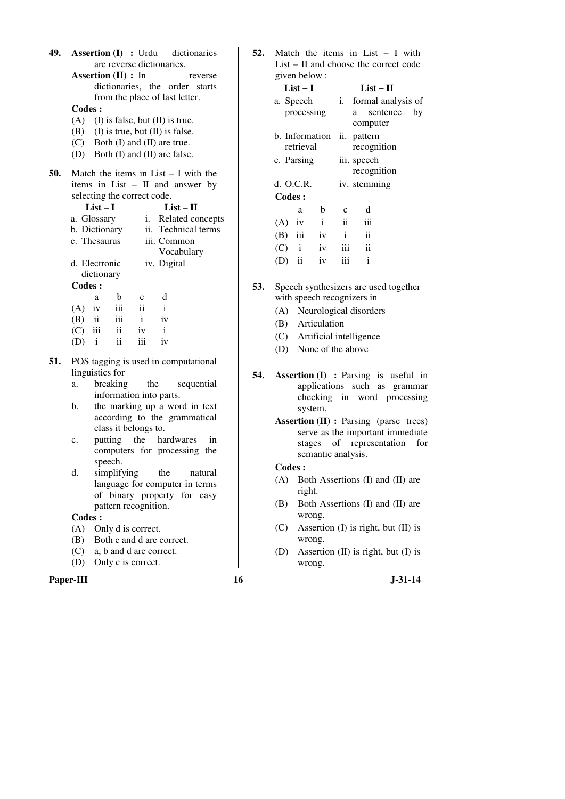**49. Assertion (I) :** Urdu dictionaries are reverse dictionaries.

**Assertion (II) :** In reverse dictionaries, the order starts from the place of last letter.

## **Codes :**

- (A) (I) is false, but  $(II)$  is true.
- (B) (I) is true, but (II) is false.
- (C) Both (I) and (II) are true.
- (D) Both (I) and (II) are false.
- **50.** Match the items in List I with the items in List – II and answer by selecting the correct code.

**List – I List – II** 

- a. Glossary i. Related concepts b. Dictionary ii. Technical terms
- c. Thesaurus iii. Common
	- Vocabulary
- d. Electronic dictionary iv. Digital
- **Codes :**

| Coues :  |              |                     |               |    |
|----------|--------------|---------------------|---------------|----|
|          | a            | b                   | $\mathcal{C}$ | d  |
| $(A)$ iv |              | iii                 | ii            |    |
| $(B)$ ii |              | iii                 | $\mathbf{i}$  | iv |
| (C)      | iii          | $\ddot{\mathbf{i}}$ | iv            | i  |
| (D)      | $\mathbf{1}$ | ii                  | iii           | 1V |

- **51.** POS tagging is used in computational linguistics for
	- a. breaking the sequential information into parts.
	- b. the marking up a word in text according to the grammatical class it belongs to.
	- c. putting the hardwares in computers for processing the speech.
	- d. simplifying the natural language for computer in terms of binary property for easy pattern recognition.

### **Codes :**

- (A) Only d is correct.
- (B) Both c and d are correct.
- (C) a, b and d are correct.
- (D) Only c is correct.

#### **Paper-III 16** J-31-14

**52.** Match the items in List – I with List – II and choose the correct code given below :

| $List-I$  |               |                | List – H        |                       |               |    |
|-----------|---------------|----------------|-----------------|-----------------------|---------------|----|
| a. Speech |               |                |                 | i. formal analysis of |               |    |
|           | processing    |                |                 | a                     | sentence      | by |
|           |               |                |                 |                       | computer      |    |
|           |               | b. Information |                 |                       | ii. pattern   |    |
|           | retrieval     |                |                 |                       | recognition   |    |
|           | c. Parsing    |                |                 |                       | iii. speech   |    |
|           |               |                |                 |                       | recognition   |    |
| d. O.C.R. |               |                |                 |                       | iv. stemming  |    |
|           | Codes:        |                |                 |                       |               |    |
|           | a             | b              | c               |                       | d             |    |
| $(A)$ iv  |               | $\mathbf{i}$   | $\ddot{\rm ii}$ |                       | iii           |    |
|           | $(B)$ iii     | iv             | $\mathbf{i}$    |                       | $\mathbf{ii}$ |    |
| $(C)$ i   |               | iv             | iii             |                       | $\mathbf{ii}$ |    |
| (D)       | $\mathbf{ii}$ | iv             | iii             |                       | $\mathbf{i}$  |    |
|           |               |                |                 |                       |               |    |

- **53.** Speech synthesizers are used together with speech recognizers in
	- (A) Neurological disorders
	- (B) Articulation
	- (C) Artificial intelligence
	- (D) None of the above
- **54. Assertion (I) :** Parsing is useful in applications such as grammar checking in word processing system.
	- **Assertion (II) :** Parsing (parse trees) serve as the important immediate stages of representation for semantic analysis.

- (A) Both Assertions (I) and (II) are right.
- (B) Both Assertions (I) and (II) are wrong.
- (C) Assertion (I) is right, but (II) is wrong.
- (D) Assertion (II) is right, but (I) is wrong.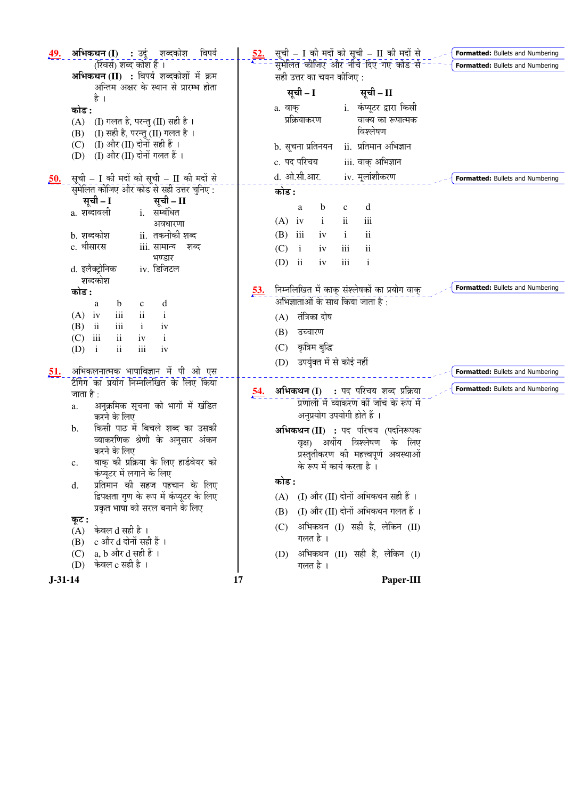| 49.        | अभिकथन (I) : उर्दू शब्दकोश<br>विपर्य<br>(रिवर्स) शब्द कोश हैं ।                             | $\frac{52}{2}$ | सूची - I की मदों को सूची - II की मदों से<br>- सुमेलित कोजिए और नीचे दिए गए कोड से<br>Formatted: Bullets and Numbering |
|------------|---------------------------------------------------------------------------------------------|----------------|-----------------------------------------------------------------------------------------------------------------------|
|            | अभिकथन (II) : विपर्य शब्दकोशों में क्रम                                                     |                | सही उत्तर का चयन कीजिए :                                                                                              |
|            | अन्तिम अक्षर के स्थान से प्रारम्भ होता                                                      |                | सूची – I<br>सूची – II                                                                                                 |
|            | है ।                                                                                        |                | i.  कंप्यूटर द्वारा किसी<br>a. वाक्                                                                                   |
|            | कोड :                                                                                       |                | प्रक्रियाकरण<br>वाक्य का रूपात्मक                                                                                     |
|            | (I) गलत है, परन्तु (II) सही है ।<br>(A)<br>(I) सही है, परन्तु (II) गलत है)।<br>(B)          |                | विश्लेषण                                                                                                              |
|            | (I) और (II) दोनों सही हैं ।<br>(C)                                                          |                | ii.  प्रतिमान अभिज्ञान                                                                                                |
|            | (I) और (II) दोनों गलत हैं ।<br>(D)                                                          |                | b. सूचना प्रतिनयन                                                                                                     |
|            |                                                                                             |                | c. पद परिचय<br>iii. वाक् अभिज्ञान                                                                                     |
| <u>50.</u> | सूची – I की मदों को सूची – II की मदों से                                                    |                | d. ओ.सी.आर.<br>iv. मूलांशीकरण<br>Formatted: Bullets and Numbering                                                     |
|            | सुमेलित कीजिए और कोड से सही उत्तर चुनिए :                                                   |                | कोड :                                                                                                                 |
|            | सूची – I<br>सूची – II                                                                       |                | d<br>$\mathbf b$<br>$\mathbf c$<br>a                                                                                  |
|            | i. सम्बंधित<br>a. शब्दावली                                                                  |                | iii<br>$\ddot{\mathbf{i}}$<br>$(A)$ iv<br>$\mathbf{i}$                                                                |
|            | अवधारणा<br>ii.  तकनीकी शब्द<br>b. शब्दकोश                                                   |                | ii<br>iii<br>(B)<br>iv<br>$\mathbf{i}$                                                                                |
|            | c. थीसारस<br>iii. सामान्य शब्द                                                              |                | ii<br>(C)<br>$\mathbf{i}$<br>iii<br>iv                                                                                |
|            | भण्डार                                                                                      |                |                                                                                                                       |
|            | iv. डिजिटल<br>d. इलेक्ट्रोनिक                                                               |                | $\overline{\mathbf{u}}$<br>$\mathbf{i}$<br>(D)<br>iii<br>iv                                                           |
|            | शब्दकोश                                                                                     |                |                                                                                                                       |
|            | कोड :                                                                                       | <u>53.</u>     | Formatted: Bullets and Numbering<br>निम्नलिखित में काक् संश्लेषकों का प्रयोग वाक्                                     |
|            | b<br>d<br>a<br>$\mathbf c$                                                                  |                | अभिज्ञाताओं के साथ किया जाता है :                                                                                     |
|            | iii<br>$\mathbf{ii}$<br>$\mathbf{i}$<br>$(A)$ iv<br>$\overline{\text{iii}}$<br>$\mathbf{i}$ |                | (A) तंत्रिका दोष                                                                                                      |
|            | ii<br>(B)<br>iv<br>$\mathbf{ii}$<br>iii<br>(C)<br>iv<br>$\mathbf{i}$                        |                | (B)<br>उच्चारण                                                                                                        |
|            | iii<br>$\rm ii$<br>$\mathbf{i}$<br>iv<br>(D)                                                |                | कृत्रिम बुद्धि<br>(C)                                                                                                 |
|            |                                                                                             |                | उपर्युक्त में से कोई नहीं<br>(D)                                                                                      |
| <u>51.</u> | अभिकलनात्मक भाषाविज्ञान में पी ओ एस                                                         |                | Formatted: Bullets and Numbering                                                                                      |
|            | टैगिंग का प्रयोग निम्नलिखित के लिए किया                                                     | 54.            | Formatted: Bullets and Numbering<br>अभिकथन (I) : पद परिचय शब्द प्रक्रिया                                              |
|            | जाता है :                                                                                   |                | प्रणाली में व्याकरण की जांच के रूप में                                                                                |
|            | अनुक्रमिक सूचना को भागों में खंडित<br>a.<br>करने के लिए                                     |                | अनुप्रयोग उपयोगी होते हैं ।                                                                                           |
|            | किसी पाठ में बिचले शब्द का उसकी<br>b.                                                       |                | अभिकथन (II) : पद परिचय (पदनिरूपक                                                                                      |
|            | व्याकरणिक श्रेणी के अनुसार अंकन                                                             |                | वृक्ष) अर्थीय विश्लेषण के लिए                                                                                         |
|            | करने के लिए                                                                                 |                | प्रस्तुतीकरण की महत्त्वपूर्ण अवस्थाओं                                                                                 |
|            | वाक् की प्रक्रिया के लिए हार्डवेयर को<br>c.                                                 |                | के रूप में कार्य करता है ।                                                                                            |
|            | कंप्यूटर में लगाने के लिए                                                                   |                | कोड :                                                                                                                 |
|            | प्रतिमान की सहज पहचान के लिए<br>d.                                                          |                |                                                                                                                       |
|            | द्विपक्षता गुण के रूप में कंप्यूटर के लिए                                                   |                | (I) और (II) दोनों अभिकथन सही हैं ।<br>(A)                                                                             |
|            | प्रकृत भाषा को सरल बनाने के लिए<br>कूट :                                                    |                | (I) और (II) दोनों अभिकथन गलत हैं ।<br>(B)                                                                             |
|            | केवल d सही है ।<br>(A)                                                                      |                | अभिकथन (I) सही है, लेकिन (II)<br>(C)                                                                                  |
|            | c और d दोनों सही हैं ।<br>(B)                                                               |                | गलत है ।                                                                                                              |
|            | a, b और d सही हैं ।<br>(C)                                                                  |                | अभिकथन (II) सही है, लेकिन (I)<br>(D)                                                                                  |
|            | केवल c सही है ।<br>(D)                                                                      |                | गलत है ।                                                                                                              |
| $J-31-14$  |                                                                                             | 17             | Paper-III                                                                                                             |
|            |                                                                                             |                |                                                                                                                       |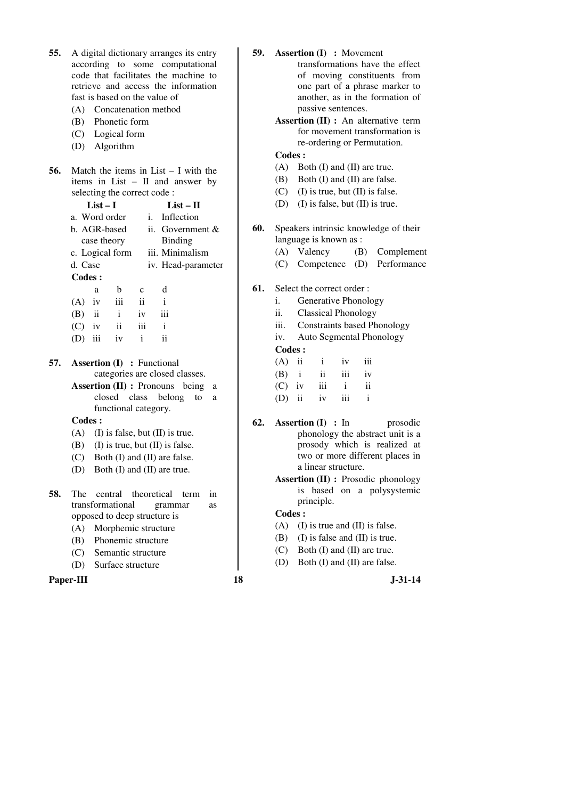| 55. | A digital dictionary arranges its entry          | 59. | <b>Assertion (I)</b> : Movement                         |
|-----|--------------------------------------------------|-----|---------------------------------------------------------|
|     | according to some computational                  |     | transformations have the effect                         |
|     | code that facilitates the machine to             |     | of moving constituents from                             |
|     | retrieve and access the information              |     | one part of a phrase marker to                          |
|     | fast is based on the value of                    |     | another, as in the formation of                         |
|     | (A) Concatenation method                         |     | passive sentences.                                      |
|     | (B) Phonetic form                                |     | <b>Assertion (II) :</b> An alternative term             |
|     | (C) Logical form                                 |     | for movement transformation is                          |
|     | (D) Algorithm                                    |     | re-ordering or Permutation.                             |
|     |                                                  |     | <b>Codes:</b>                                           |
| 56. | Match the items in $List - I$ with the           |     | Both (I) and (II) are true.<br>(A)                      |
|     | items in List $-$ II and answer by               |     | Both (I) and (II) are false.<br>(B)                     |
|     | selecting the correct code:                      |     | (I) is true, but (II) is false.<br>(C)                  |
|     | $List-I$<br>$List - II$                          |     | $(I)$ is false, but $(II)$ is true.<br>(D)              |
|     | Inflection<br>a. Word order<br>i.                |     |                                                         |
|     | b. AGR-based<br>ii. Government $&$               | 60. | Speakers intrinsic knowledge of their                   |
|     | Binding<br>case theory                           |     | language is known as :                                  |
|     | iii. Minimalism<br>c. Logical form               |     | Compleme<br>(A)<br>Valency<br>(B)                       |
|     | d. Case<br>iv. Head-parameter                    |     | Competence (D)<br>Performano<br>(C)                     |
|     | Codes:                                           |     |                                                         |
|     | d<br>b<br>a<br>$\mathbf c$                       | 61. | Select the correct order:                               |
|     | iii<br>$\mathbf{ii}$<br>$\mathbf{i}$<br>$(A)$ iv |     | Generative Phonology<br>i.                              |
|     | $(B)$ ii<br>$\mathbf{i}$<br>iii<br>iv            |     | <b>Classical Phonology</b><br>ii.                       |
|     | ii<br>(C)<br>iv<br>iii<br>$\mathbf{i}$           |     | <b>Constraints based Phonology</b><br>iii.              |
|     | $\mathbf{ii}$<br>$\mathbf{i}$<br>$(D)$ iii<br>iv |     | Auto Segmental Phonology<br>iv.                         |
|     |                                                  |     | <b>Codes:</b>                                           |
| 57. | <b>Assertion (I)</b> : Functional                |     | $(A)$ ii<br>iii<br>$\mathbf{i}$<br>iv                   |
|     | categories are closed classes.                   |     | $\mathbf{i}$<br>iii<br>(B)<br>$\ddot{\mathbf{i}}$<br>iv |
|     | <b>Assertion (II)</b> : Pronouns being<br>a      |     | $\rm ii$<br>(C)<br>iv<br>iii<br>$\mathbf{i}$            |
|     | closed class belong<br>to<br>a                   |     | $\mathbf{i}$<br>iii<br>(D)<br>$\mathbf{ii}$<br>iv       |
|     | functional category.                             |     |                                                         |
|     | Codes:                                           | 62. | <b>Assertion (I) : In</b><br>prosodic                   |
|     | $(A)$ (I) is false, but (II) is true.            |     | phonology the abstract unit is a                        |
|     | $(B)$ (I) is true, but $(II)$ is false.          |     | prosody which is realized at                            |
|     | (C) Both (I) and (II) are false.                 |     | two or more different places in                         |
|     | Both (I) and (II) are true.<br>(D)               |     | a linear structure.                                     |
|     |                                                  |     | <b>Assertion (II)</b> : Prosodic phonology              |
| 58. | The<br>central<br>theoretical term<br>in         |     | is based on a polysystemic                              |
|     | transformational<br>grammar<br>as                |     | principle.                                              |
|     | opposed to deep structure is                     |     | <b>Codes:</b>                                           |
|     | Morphemic structure<br>(A)                       |     | (A)<br>(I) is true and (II) is false.                   |
|     | Phonemic structure<br>(B)                        |     | (B)<br>(I) is false and (II) is true.                   |
|     | Semantic structure<br>(C)                        |     | Both (I) and (II) are true.<br>(C)                      |
|     | Surface structure<br>(D)                         |     | Both (I) and (II) are false.<br>(D)                     |
|     |                                                  |     |                                                         |
|     | Paper-III                                        | 18  | $J-31-14$                                               |

- **59. Assertion (I) :** Movement transformations have the effect of moving constituents from one part of a phrase marker to another, as in the formation of passive sentences.
	- **Assertion (II) :** An alternative term for movement transformation is re-ordering or Permutation.

- (A) Both (I) and (II) are true.
- (B) Both (I) and (II) are false.
- $(C)$  (I) is true, but (II) is false.
- (D) (I) is false, but (II) is true.
- **60.** Speakers intrinsic knowledge of their language is known as :
	- (A) Valency (B) Complement
	- (C) Competence (D) Performance
- **61.** Select the correct order :
	- i. Generative Phonology
	- ii. Classical Phonology
	- iii. Constraints based Phonology
	- iv. Auto Segmental Phonology  **Codes :**

| $(A)$ ii   | $\mathbf{i}$ | iv           | iii          |
|------------|--------------|--------------|--------------|
| $(B)$ i ii |              | iii          | $\mathbf{i}$ |
|            | $(C)$ iv iii | $\mathbf{i}$ | ii           |
|            | $(D)$ ii iv  | iii          |              |

- **62. Assertion (I) :** In prosodic phonology the abstract unit is a prosody which is realized at two or more different places in a linear structure.
	- **Assertion (II) :** Prosodic phonology is based on a polysystemic principle.

- (A) (I) is true and (II) is false.
- (B) (I) is false and (II) is true.
- (C) Both (I) and (II) are true.
- (D) Both (I) and (II) are false.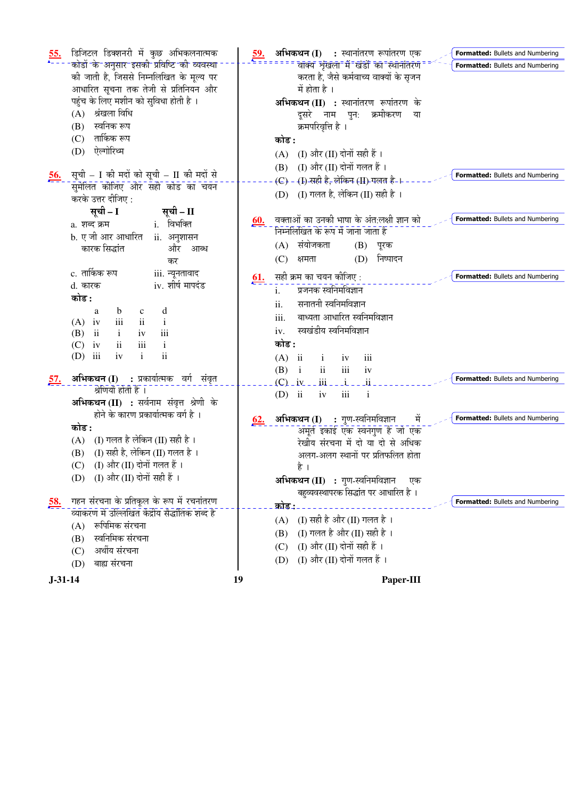| $\frac{55}{4}$ | डिजिटल डिक्शनरी में कुछ अभिकलनात्मक                                            |            | <b>अभिकथन (I)    :</b> स्थानांतरण रूपांतरण एक<br>Formatted: Bullets and Numbering         |
|----------------|--------------------------------------------------------------------------------|------------|-------------------------------------------------------------------------------------------|
|                | कोडों के अनुसार इसकी प्रविष्टि की व्यवस्था                                     |            | वाक्य शृंखला में खंडों का स्थानांतरण<br>Formatted: Bullets and Numbering                  |
|                | की जाती है, जिससे निम्नलिखित के मूल्य पर                                       |            | करता है, जैसे कर्मवाच्य वाक्यों के सृजन                                                   |
|                | आधारित सूचना तक तेजी से प्रतिनियन और                                           |            | में होता है ।                                                                             |
|                | पहुंच के लिए मशीन को सुविधा होती है ।                                          |            | अभिकथन (II) : स्थानांतरण रूपांतरण के                                                      |
|                | श्रंखला विधि<br>(A)                                                            |            | दूसरे नाम पुन: क्रमीकरण<br>या                                                             |
|                | स्वनिक रूप<br>(B)                                                              |            | क्रमपरिवृत्ति है ।                                                                        |
|                | तार्किक रूप<br>(C)                                                             |            | कोड :                                                                                     |
|                | ऐल्गोरिथ्म<br>(D)                                                              |            | (I) और (II) दोनों सही हैं ।<br>(A)                                                        |
|                |                                                                                |            | (I) और (II) दोनों गलत हैं ।<br>(B)                                                        |
| <u>56.</u>     | सूची – I की मदों को सूची – II की मदों से                                       |            | Formatted: Bullets and Numbering<br>(C) - (I) सही है, लेकिन (II) गलत है-।                 |
|                | सुमेलित कीजिए और सही कोड का चयन                                                |            | (D) $\left( I\right)$ गलत है, लेकिन (II) सही है ।                                         |
|                | करके उत्तर दीजिए :                                                             |            |                                                                                           |
|                | सूची – I<br>सूची – II                                                          |            | Formatted: Bullets and Numbering                                                          |
|                | i. विभक्ति<br>a. शब्द क्रम                                                     | <u>60.</u> | वक्ताओं का उनकी भाषा के अंत:लक्षी ज्ञान को<br>निम्नलिखित के रूप में जाना जाता है          |
|                | b. ए जी आर आधारित<br>ii. अनुशासन                                               |            |                                                                                           |
|                | कारक सिद्धांत<br>और आब्ध                                                       |            | संयोजकता<br>$(B)$ पूरक<br>(A)                                                             |
|                | कर                                                                             |            | (D) निष्पादन<br>(C)<br>क्षमता                                                             |
|                | c. तार्किक रूप<br>iii. न्यूनतावाद                                              | <u>61.</u> | सही क्रम का चयन कीजिए:<br>Formatted: Bullets and Numbering                                |
|                | iv. शीर्ष मापदंड<br>d. कारक                                                    |            | प्रजनक स्वनिमविज्ञान<br>$\mathbf{i}$ .                                                    |
|                | कोड :                                                                          |            | सनातनी स्वनिमविज्ञान<br>ii.                                                               |
|                | $\mathbf b$<br>d<br>a<br>$\mathbf c$                                           |            | बाध्यता आधारित स्वनिमविज्ञान<br>iii.                                                      |
|                | $\mathbf{ii}$<br>$\rm iii$<br>$(A)$ iv<br>$\mathbf{i}$                         |            | स्वखंडीय स्वनिमविज्ञान<br>iv.                                                             |
|                | $\mathbf{i}$<br>iii<br>(B)<br>ii<br>iv<br>$\mathbf{ii}$<br>iii                 |            | कोड :                                                                                     |
|                | $\mathbf{i}$<br>(C)<br>iv<br>$\mathbf{ii}$<br>iii<br>$\mathbf{i}$<br>(D)<br>iv |            |                                                                                           |
|                |                                                                                |            | $(A)$ ii<br>iii<br>$\mathbf{i}$<br>iv                                                     |
| <u>57.</u>     | <b>अभिकथन (I) :</b> प्रकार्यात्मक वर्ग संवृत                                   |            | ii<br>iii<br>$(B)$ i<br>iv<br>Formatted: Bullets and Numbering<br>$\overline{\mathbf{u}}$ |
|                | श्रेणियाँ होती हैं ।                                                           |            | $(C)$ $-iv$ $-iii$ $-$<br>$-1$                                                            |
|                | अभिकथन (II) : सर्वनाम संवृत्त श्रेणी के                                        |            | $(D)$ ii<br>$\mathbf{i}$<br>iv<br>iii                                                     |
|                | होने के कारण प्रकार्यात्मक वर्ग है ।                                           |            | Formatted: Bullets and Numbering<br>मे                                                    |
|                | कोड :                                                                          | <u>62.</u> | <b>अभिकथन (I) :</b> गुण-स्वनिमविज्ञान<br>अमूर्त इकाई एक स्वनगुण है जो एक                  |
|                | (I) गलत है लेकिन (II) सही है ।<br>(A)                                          |            | रेखीय संरचना में दो या दो से अधिक                                                         |
|                | (I) सही है, लेकिन (II) गलत है ।<br>(B)                                         |            | अलग-अलग स्थानों पर प्रतिफलित होता                                                         |
|                | — (I) और (II) दोनों गलत हैं ।<br>(C)                                           |            | है ।                                                                                      |
|                | (D) (I) और (II) दोनों सही हैं ।                                                |            | अभिकथन (II) : गुण-स्वनिमविज्ञान<br>एक                                                     |
|                |                                                                                |            | बहुव्यवस्थापरक सिद्धांत पर आधारित है ।                                                    |
| <u>58.</u>     | गहन संरचना के प्रतिकूल के रूप में रचनांतरण                                     |            | Formatted: Bullets and Numbering<br>कोड:                                                  |
|                | व्याकरण में उल्लिखित केंद्रीय सैद्धांतिक शब्द है                               |            |                                                                                           |
|                | रूपिमिक संरचना<br>(A)                                                          |            | (I) सही है और (II) गलत है ।<br>(A)                                                        |
|                | स्वनिमिक संरचना<br>(B)                                                         |            | (I) गलत है और (II) सही है ।<br>(B)                                                        |
|                | अर्थीय संरचना<br>(C)                                                           |            | (I) और (II) दोनों सही हैं ।<br>(C)                                                        |
|                | बाह्य संरचना<br>(D)                                                            |            | (I) और (II) दोनों गलत हैं ।<br>(D)                                                        |
| $J-31-14$      |                                                                                | 19         | Paper-III                                                                                 |
|                |                                                                                |            |                                                                                           |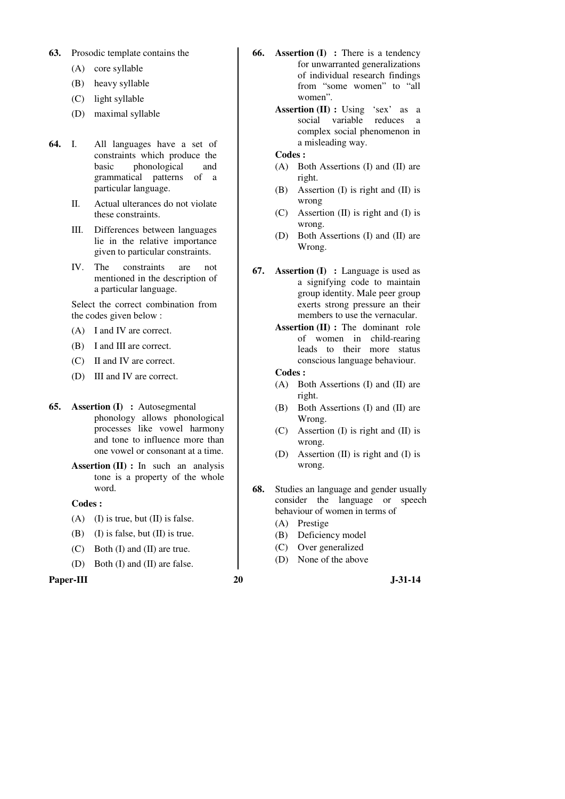#### **63.** Prosodic template contains the

- (A) core syllable
- (B) heavy syllable
- (C) light syllable
- (D) maximal syllable
- **64.** I. All languages have a set of constraints which produce the basic phonological and grammatical patterns of a particular language.
	- II. Actual ulterances do not violate these constraints.
	- III. Differences between languages lie in the relative importance given to particular constraints.
	- IV. The constraints are not mentioned in the description of a particular language.

 Select the correct combination from the codes given below :

- (A) I and IV are correct.
- (B) I and III are correct.
- (C) II and IV are correct.
- (D) III and IV are correct.
- **65. Assertion (I) :** Autosegmental phonology allows phonological processes like vowel harmony and tone to influence more than one vowel or consonant at a time.
	- **Assertion (II) :** In such an analysis tone is a property of the whole word.

 **Codes :**

- (A) (I) is true, but  $(II)$  is false.
- (B) (I) is false, but (II) is true.
- (C) Both (I) and (II) are true.
- (D) Both (I) and (II) are false.

## **Paper-III 20 J-31-14**

- **66. Assertion (I) :** There is a tendency for unwarranted generalizations of individual research findings from "some women" to "all women".
	- **Assertion (II) :** Using 'sex' as a social variable reduces a complex social phenomenon in a misleading way.

## **Codes :**

- (A) Both Assertions (I) and (II) are right.
- (B) Assertion (I) is right and (II) is wrong
- (C) Assertion (II) is right and (I) is wrong.
- (D) Both Assertions (I) and (II) are Wrong.
- **67. Assertion (I) :** Language is used as a signifying code to maintain group identity. Male peer group exerts strong pressure an their members to use the vernacular.
	- **Assertion (II) :** The dominant role of women in child-rearing leads to their more status conscious language behaviour.

- (A) Both Assertions (I) and (II) are right.
- (B) Both Assertions (I) and (II) are Wrong.
- (C) Assertion (I) is right and (II) is wrong.
- (D) Assertion (II) is right and (I) is wrong.
- **68.** Studies an language and gender usually consider the language or speech behaviour of women in terms of
	- (A) Prestige
	- (B) Deficiency model
	- (C) Over generalized
	- (D) None of the above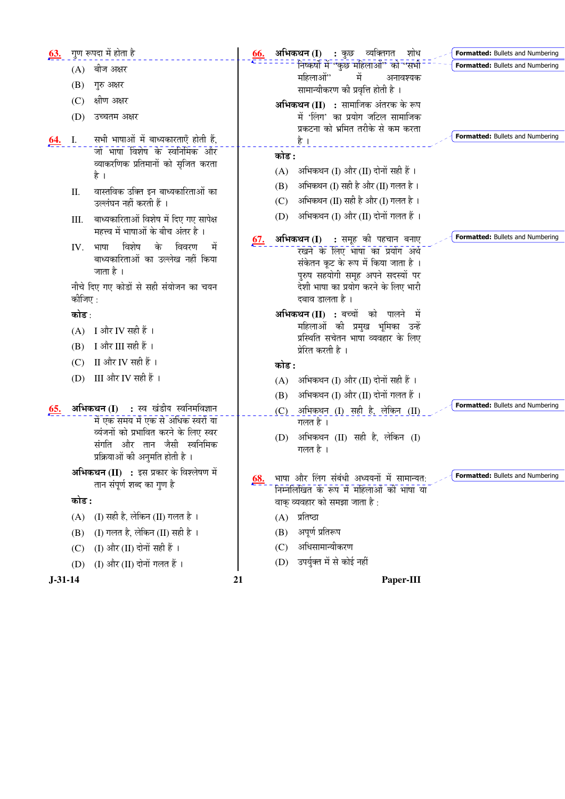| <u>63.</u> |         | गुण रूपदा में होता है                                                        | <u>66.</u> | अभिकथन (I) : कुछ व्यक्तिगत<br>शोध<br><b>Formatted:</b> Bullets and Numbering   |
|------------|---------|------------------------------------------------------------------------------|------------|--------------------------------------------------------------------------------|
|            | (A)     | बीज अक्षर                                                                    |            | निष्कर्षों में ''कुछ महिलाओं'' को ''सभी<br>Formatted: Bullets and Numbering    |
|            | (B)     | गुरु अक्षर                                                                   |            | में<br>महिलाओं"<br>अनावश्यक<br>सामान्यीकरण की प्रवृत्ति होती है ।              |
|            | (C)     | क्षीण अक्षर                                                                  |            | अभिकथन (II) : सामाजिक अंतरक के रूप                                             |
|            | (D)     | उच्चतम अक्षर                                                                 |            | में 'लिंग' का प्रयोग जटिल सामाजिक                                              |
|            |         |                                                                              |            | प्रकटना को भ्रमित तरीके से कम करता<br>Formatted: Bullets and Numbering         |
| <u>64.</u> | I.      | सभी भाषाओं में बाध्यकारताएँ होती हैं,<br>जो भाषा विशेष के स्वनिमिक और        |            | है ।                                                                           |
|            |         | व्याकरणिक प्रतिमानों को सृजित करता                                           |            | कोड :                                                                          |
|            |         | है ।                                                                         |            | अभिकथन (I) और (II) दोनों सही हैं ।<br>(A)                                      |
|            | Π.      | वास्तविक उक्ति इन बाध्यकारिताओं का                                           |            | अभिकथन (I) सही है और (II) गलत है।<br>(B)                                       |
|            |         | उल्लंघन नहीं करती हैं ।                                                      |            | अभिकथन (II) सही है और (I) गलत है ।<br>(C)                                      |
|            | III.    | बाध्यकारिताओं विशेष में दिए गए सापेक्ष                                       |            | (D) अभिकथन (I) और (II) दोनों गलत हैं ।                                         |
|            |         | महत्त्व में भाषाओं के बीच अंतर है ।                                          | <u>67.</u> | Formatted: Bullets and Numbering<br>अभिकथन (I) : समूह की पहचान बनाए            |
|            | IV.     | विशेष<br>के<br>विवरण<br>मे<br>भाषा<br>बाध्यकारिताओं का उल्लेख नहीं किया      |            | रखने के लिए भाषा का प्रयोग अर्थ                                                |
|            |         | जाता है ।                                                                    |            | संकेतन कूट के रूप में किया जाता है।                                            |
|            |         | नीचे दिए गए कोडों से सही संयोजन का चयन                                       |            | पुरुष सहयोगी समूह अपने सदस्यों पर<br>देशी भाषा का प्रयोग करने के लिए भारी      |
|            | कीजिए : |                                                                              |            | दबाव डालता है                                                                  |
|            | कोड :   |                                                                              |            | अभिकथन (II) : बच्चों को पालने में                                              |
|            |         | $(A)$ I और IV सही हैं।                                                       |            | महिलाओं की प्रमुख भूमिका उन्हें<br>प्रस्थिति सचेतन भाषा व्यवहार के लिए         |
|            | (B)     | Ⅰ और Ⅲ सही हैं ।                                                             |            | प्रेरित करती है ।                                                              |
|            | (C)     | II और IV सही हैं ।                                                           |            | कोड :                                                                          |
|            | (D)     | III और IV सही हैं ।                                                          |            | अभिकथन (I) और (II) दोनों सही हैं ।<br>(A)                                      |
|            |         |                                                                              |            | अभिकथन (I) और (II) दोनों गलत हैं ।<br>(B)                                      |
| 65.        |         | अभिकथन (I) : स्व खंडीय स्वनिमविज्ञान                                         |            | Formatted: Bullets and Numbering<br>$(C)$ अभिकथन $(I)$ सही है, लेकिन $(II)$    |
|            |         | में एक समय में एक से अधिक स्वरों या<br>व्यंजनों को प्रभावित करने के लिए स्वर |            | गलत है ।                                                                       |
|            |         | संगति और तान जैसी स्वनिमिक                                                   |            | अभिकथन (II) सही है, लेकिन (I)<br>(D)<br>गलत है ।                               |
|            |         | प्रक्रियाओं की अनुमति होती है।                                               |            |                                                                                |
|            |         | अभिकथन (II) : इस प्रकार के विश्लेषण में                                      | <u>68.</u> | Formatted: Bullets and Numbering<br>भाषा और लिंग संबंधी अध्ययनों में सामान्यत: |
|            |         | तान संपूर्ण शब्द का गुण है                                                   |            | निम्नलिखित के रूप में महिलाओं की भाषा या                                       |
|            | कोड :   |                                                                              |            | वाक् व्यवहार को समझा जाता है :                                                 |
|            | (A)     | (I) सही है, लेकिन (II) गलत है ।                                              |            | प्रतिष्ठा<br>(A)                                                               |
|            | (B)     | (I) गलत है, लेकिन (II) सही है ।                                              |            | अपूर्ण प्रतिरूप<br>(B)                                                         |
|            | (C)     | (I) और (II) दोनों सही हैं ।                                                  |            | अधिसामान्यीकरण<br>(C)                                                          |
|            | (D)     | (I) और (II) दोनों गलत हैं।                                                   |            | उपर्युक्त में से कोई नहीं<br>(D)                                               |
| $J-31-14$  |         | 21                                                                           | Paper-III  |                                                                                |
|            |         |                                                                              |            |                                                                                |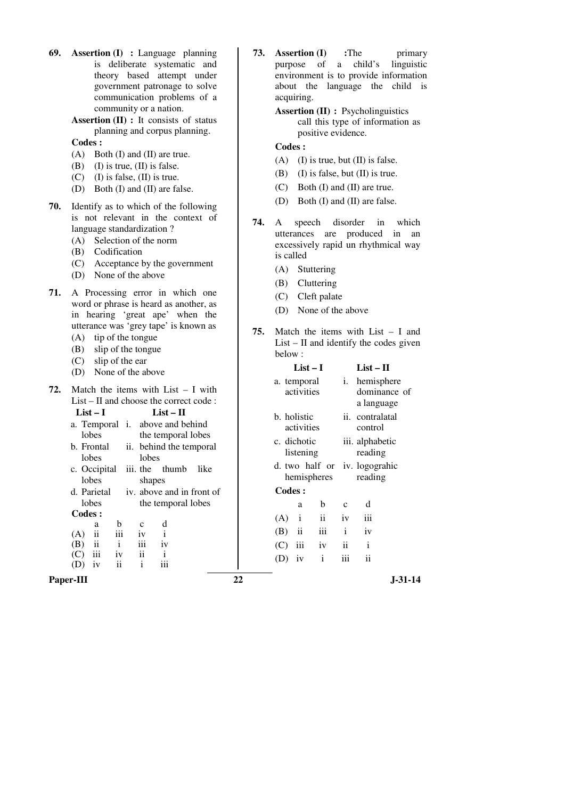| 69.<br><b>Assertion (I)</b> : Language planning<br>is deliberate systematic and<br>theory based attempt under<br>government patronage to solve<br>communication problems of a<br>community or a nation.<br>Assertion (II) : It consists of status<br>planning and corpus planning.<br>Codes:<br>$(A)$ Both $(I)$ and $(II)$ are true.<br>$(I)$ is true, $(II)$ is false.<br>(B)<br>$(C)$ (I) is false, (II) is true.<br>(D) Both (I) and (II) are false.                                                                                                                                                                                                                   | 73.<br><b>Assertion (I)</b><br>:The<br>primary<br>linguistic<br>child's<br>purpose<br>of<br>a<br>environment is to provide information<br>about the language the child is<br>acquiring.<br><b>Assertion (II)</b> : Psycholinguistics<br>call this type of information as<br>positive evidence.<br>Codes:<br>(A)<br>$(I)$ is true, but $(II)$ is false.<br>$(I)$ is false, but $(II)$ is true.<br>(B)<br>$(C)$ Both $(I)$ and $(II)$ are true.                                                     |
|----------------------------------------------------------------------------------------------------------------------------------------------------------------------------------------------------------------------------------------------------------------------------------------------------------------------------------------------------------------------------------------------------------------------------------------------------------------------------------------------------------------------------------------------------------------------------------------------------------------------------------------------------------------------------|---------------------------------------------------------------------------------------------------------------------------------------------------------------------------------------------------------------------------------------------------------------------------------------------------------------------------------------------------------------------------------------------------------------------------------------------------------------------------------------------------|
| 70.<br>Identify as to which of the following<br>is not relevant in the context of<br>language standardization?<br>Selection of the norm<br>(A)<br>(B) Codification<br>Acceptance by the government<br>(C)<br>None of the above<br>(D)                                                                                                                                                                                                                                                                                                                                                                                                                                      | (D) Both (I) and (II) are false.<br>74.<br>disorder<br>in<br>which<br>A<br>speech<br>utterances<br>produced<br>in<br>are<br>an<br>excessively rapid un rhythmical way<br>is called<br>(A) Stuttering<br>Cluttering<br>(B)                                                                                                                                                                                                                                                                         |
| 71.<br>A Processing error in which one<br>word or phrase is heard as another, as<br>in hearing 'great ape' when the<br>utterance was 'grey tape' is known as<br>(A) tip of the tongue<br>slip of the tongue<br>(B)<br>slip of the ear<br>(C)<br>None of the above<br>(D)                                                                                                                                                                                                                                                                                                                                                                                                   | Cleft palate<br>(C)<br>(D) None of the above<br>75.<br>Match the items with $List - I$ and<br>$List - II$ and identify the codes given<br>below:<br>$List - II$<br>$List-I$                                                                                                                                                                                                                                                                                                                       |
| 72.<br>Match the items with $List - I$ with<br>$List - II$ and choose the correct code :<br>$List-I$<br>$List - II$<br>a. Temporal <i>i</i> . above and behind<br>lobes<br>the temporal lobes<br>b. Frontal<br>ii. behind the temporal<br>lobes<br>lobes<br>c. Occipital iii. the<br>thumb<br>like<br>shapes<br>lobes<br>iv. above and in front of<br>d. Parietal<br>lobes<br>the temporal lobes<br>Codes:<br>${\bf d}$<br>b<br>a<br>$\mathbf{C}$<br>$\mathbf{ii}$<br>iii<br>(A)<br>$\mathbf{i}$<br>iv<br>(B)<br>$\overline{\mathbf{u}}$<br>$\mathbf{i}$<br>iii<br>iv<br>iii<br>$\rm ii$<br>(C)<br>$\mathbf{i}$<br>iv<br>$\mathbf{i}$<br>iii<br>iv<br>$\mathbf{ii}$<br>(D) | i. hemisphere<br>a. temporal<br>dominance of<br>activities<br>a language<br>ii. contralatal<br>b. holistic<br>activities<br>control<br>c. dichotic<br>iii. alphabetic<br>listening<br>reading<br>d. two half or iv. logograhic<br>hemispheres<br>reading<br>Codes:<br>d<br>b<br>$\mathbf c$<br>a<br>$\rm ii$<br>$\mathbf{i}$<br>(A)<br>iii<br>iv<br>iii<br>$\rm i$<br>$\rm ii$<br>(B)<br>iv<br>$\rm iii$<br>(C)<br>iv<br>$\rm ii$<br>$\mathbf{i}$<br>$\rm ii$<br>iii<br>iv<br>(D)<br>$\mathbf{i}$ |
| Paper-III                                                                                                                                                                                                                                                                                                                                                                                                                                                                                                                                                                                                                                                                  | 22<br>$J - 31 - 14$                                                                                                                                                                                                                                                                                                                                                                                                                                                                               |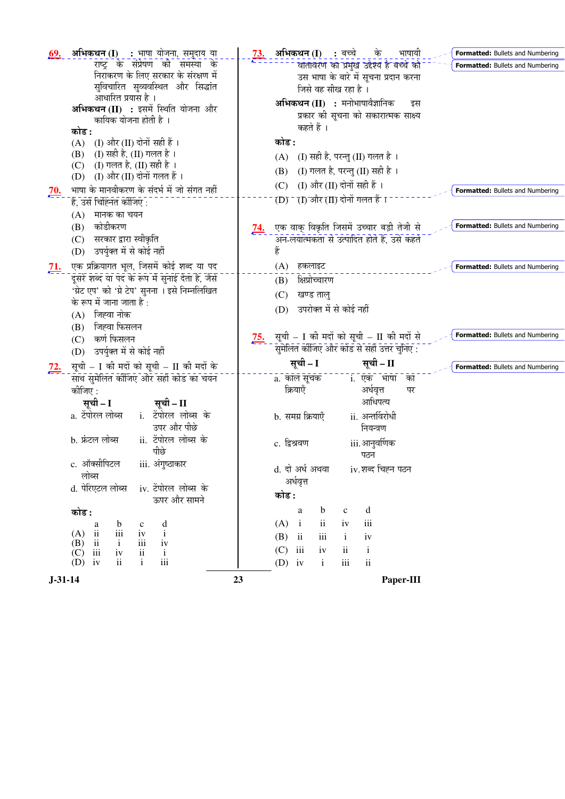| अभिकथन (I) : भाषा योजना, समुदाय या<br>69.<br>राष्ट्र के संप्रेषण की समस्या के<br>निराकरण के लिए सरकार के संरक्षण में<br>सुविचारित सुव्यवस्थित और सिद्धांत<br>आधारित प्रयास है ।<br>अभिकथन (II) : इसमें स्थिति योजना और<br>कायिक योजना होती है ।<br>कोड :<br>(A) (I) और (II) दोनों सही हैं ।<br>(B) (I) सही है, (II) गलत है ।<br>(I) गलत है, (II) सही है)।<br>(C)<br>(I) और (II) दोनों गलत हैं ।<br>(D)<br>भाषा के मानवीकरण के संदर्भ में जो संगत नहीं<br><u>70.</u><br>है, उसे चिह्नित कीजिए :                                                                                                                    | अभिकथन (I) : बच्चे के<br>भाषायी<br><u>73.</u><br>वातावरण का प्रमुख उद्देश्य है बच्चे को<br>उस भाषा के बारे में सूचना प्रदान करना<br>जिसे वह सीख रहा है ।<br>अभिकथन (II) : मनोभाषावैज्ञानिक<br>इस<br>प्रकार की सूचना को सकारात्मक साक्ष्य<br>कहते हैं ।<br>कोड :<br>(A) (I) सही है, परन्तु (II) गलत है ।<br>(I) गलत है, परन्तु (II) सही है)।<br>(B)<br>- (I) और (II) दोनों सही हैं ।<br>(C)<br>(D) - (I) और (II) दोनों गलत हैं ।                                                                                                                                  | Formatted: Bullets and Numbering<br><b>Formatted: Bullets and Numbering</b><br><b>Formatted: Bullets and Numbering</b> |
|-------------------------------------------------------------------------------------------------------------------------------------------------------------------------------------------------------------------------------------------------------------------------------------------------------------------------------------------------------------------------------------------------------------------------------------------------------------------------------------------------------------------------------------------------------------------------------------------------------------------|------------------------------------------------------------------------------------------------------------------------------------------------------------------------------------------------------------------------------------------------------------------------------------------------------------------------------------------------------------------------------------------------------------------------------------------------------------------------------------------------------------------------------------------------------------------|------------------------------------------------------------------------------------------------------------------------|
| $(A)$ मानक का चयन<br>कोडीकरण<br>(B)<br>सरकार द्वारा स्वीकृति<br>(C)<br>उपर्युक्त में से कोई नहीं<br>(D)                                                                                                                                                                                                                                                                                                                                                                                                                                                                                                           | एक वाक् विकृति जिसमें उच्चार बड़ी तेजी से<br><u>74.</u><br>अन-लयात्मकता से उत्पादित होते हैं, उसे कहते<br>हैं                                                                                                                                                                                                                                                                                                                                                                                                                                                    | Formatted: Bullets and Numbering                                                                                       |
| एक प्रक्रियागत भूल, जिसमें कोई शब्द या पद<br><u>71.</u><br>दूसरे शब्द या पद के रूप में सुनाई देता है, जैसे<br>'ग्रेट एप' को 'ग्रे टेप' सुनना । इसे निम्नलिखित<br>के रूप में जाना जाता है :<br>(A) जिह्वा नोक                                                                                                                                                                                                                                                                                                                                                                                                      | हकलाइट<br>(A)<br>क्षिप्रोच्चारण<br>(B)<br>खण्ड ताल्<br>(C)<br>उपरोक्त में से कोई नहीं<br>(D)                                                                                                                                                                                                                                                                                                                                                                                                                                                                     | Formatted: Bullets and Numbering                                                                                       |
| (B) जिह्वा फिसलन<br>(C) कर्ण फिसलन<br>उपर्युक्त में से कोई नहीं<br>(D)                                                                                                                                                                                                                                                                                                                                                                                                                                                                                                                                            | सूची – I की मदों को सूची – II की मदों से<br><u>75.</u><br>सुमेलित कीजिए और कोड से सही उत्तर चुनिए :                                                                                                                                                                                                                                                                                                                                                                                                                                                              | Formatted: Bullets and Numbering                                                                                       |
| सूची – I की मदों को सूची – II की मदों के<br><u>72.</u><br>साथ सुमेलित कीजिए और सही कोड का चयन<br>कीजिए :<br>सूची – I<br>सूची – II<br>a. टेंपोरल लोब्स<br>i. टेंपोरल लोब्स के<br>उपर और पीछे<br>ii. टेंपोरल लोब्स के<br>b. फ्रंटल लोब्स<br>पीछे<br>c. ऑक्सीपिटल<br>iii. अंगुष्ठाकार<br>लोब्स<br>d. पेरिएटल लोब्स<br>iv. टेंपोरल लोब्स के<br>ऊपर और सामने<br>कोड :<br>d<br>b<br>$\mathbf c$<br>a<br>$\rm iii$<br>$(A)$ ii<br>iv<br>$\mathbf{i}$<br>(B)<br>iii<br>$\overline{\mathbf{u}}$<br>$\mathbf{i}$<br>iv<br>iii<br>(C)<br>iv<br>$\mathbf{ii}$<br>$\mathbf{i}$<br>$\rm ii$<br>$\mathbf{i}$<br>iii<br>iv<br>(D) | सूची - II<br>सूची – I<br>- ; - एक <sup>-</sup> भाषा<br>a. कॉल सूचक<br>ंका<br>क्रियाएँ<br>अर्धवृत्त<br>पर<br>आधिपत्य<br>ii. अन्तर्विरोधी<br>b. समग्र क्रियाएँ<br>नियन्त्रण<br>c. द्विश्रवण<br>iii.आनुवर्णिक<br>पठन<br>d. दो अर्ध अथवा<br>iv.शब्द चिह्न पठन<br>अर्धवृत्त<br>कोड :<br>$\mathbf d$<br>$\mathbf b$<br>$\mathbf{a}$<br>$\mathbf{C}$<br>(A)<br>$\rm ii$<br>iii<br>$\mathbf{i}$<br>iv<br>(B)<br>$\mathbf{ii}$<br>iii<br>iv<br>$\mathbf{i}$<br>iii<br>(C)<br>$\mathbf{i}$<br>iv<br>$\overline{\mathbf{u}}$<br>$\rm ii$<br>$(D)$ iv<br>$\mathbf{i}$<br>iii | Formatted: Bullets and Numbering                                                                                       |
| $J-31-14$                                                                                                                                                                                                                                                                                                                                                                                                                                                                                                                                                                                                         | 23<br>Paper-III                                                                                                                                                                                                                                                                                                                                                                                                                                                                                                                                                  |                                                                                                                        |